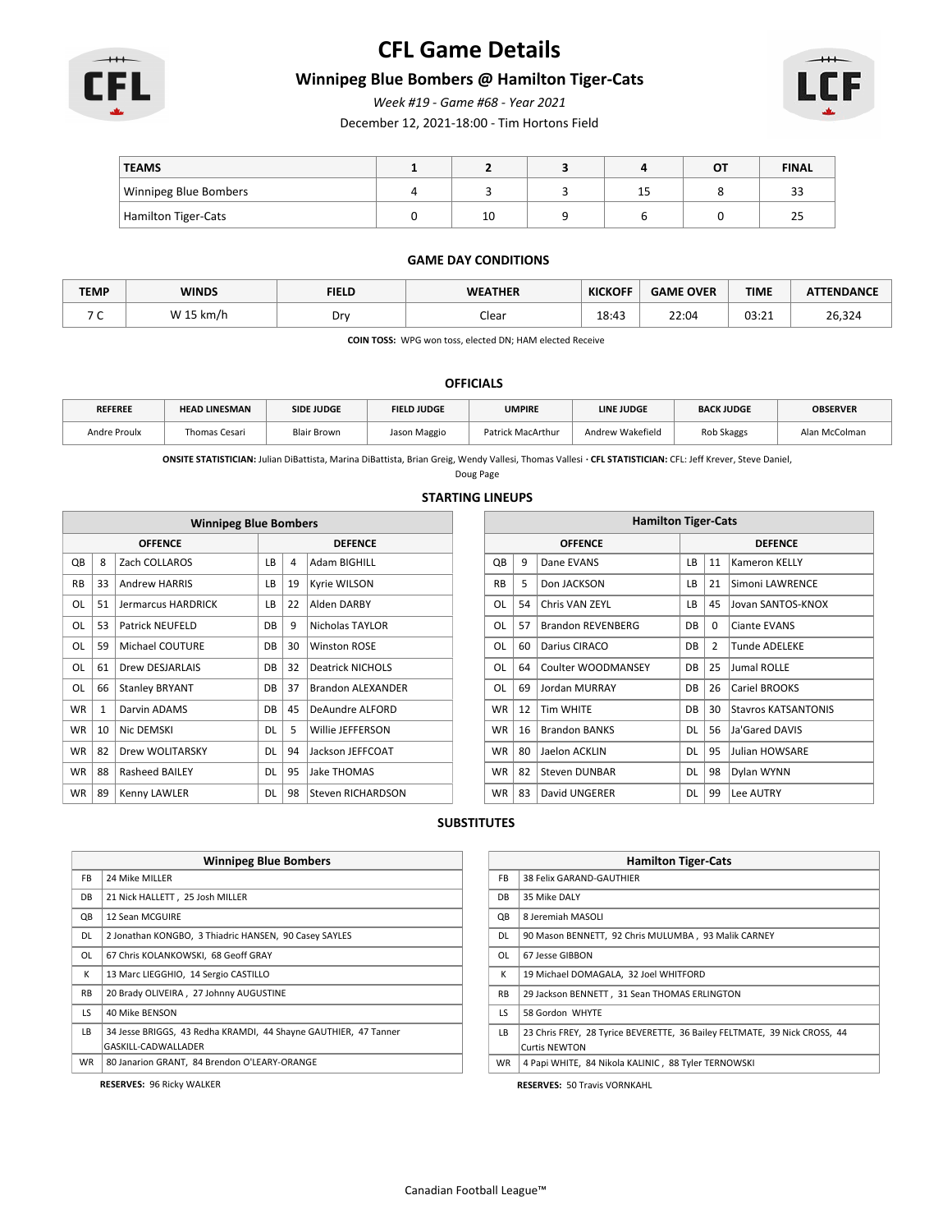

# **CFL Game Details**

### **Winnipeg Blue Bombers @ Hamilton Tiger-Cats**

*Week #19 - Game #68 - Year 2021*

December 12, 2021-18:00 - Tim Hortons Field



| <b>TEAMS</b>          |                      |   | OT | <b>FINAL</b>        |
|-----------------------|----------------------|---|----|---------------------|
| Winnipeg Blue Bombers |                      | ب |    | $\sim$<br>ندر       |
| Hamilton Tiger-Cats   | $\overline{1}$<br>τn |   |    | $\sim$ $\sim$<br>45 |

#### **GAME DAY CONDITIONS**

| <b>TEMP</b>                     | <b>WINDS</b> | <b>FIELD</b> | <b>WEATHER</b> | <b>KICKOFF</b> | <b>GAME OVER</b> | <b>TIME</b>           | <b>ATTENDANCE</b> |
|---------------------------------|--------------|--------------|----------------|----------------|------------------|-----------------------|-------------------|
| $\overline{\phantom{a}}$<br>. . | W 15 km/h    | Drv          | Clear          | 18:43          | 22:04            | 02.71<br><b>UJ.ZI</b> | 26,324            |

**COIN TOSS:** WPG won toss, elected DN; HAM elected Receive

#### **OFFICIALS**

| <b>REFEREE</b> | <b>HEAD LINESMAN</b> | <b>SIDE JUDGE</b>  | <b>FIELD JUDGE</b> | <b>UMPIRE</b>     | <b>LINE JUDGE</b> | <b>BACK JUDGE</b> | <b>OBSERVER</b> |
|----------------|----------------------|--------------------|--------------------|-------------------|-------------------|-------------------|-----------------|
| Andre Proulx   | Thomas Cesari        | <b>Blair Brown</b> | Jason Maggio       | Patrick MacArthur | Andrew Wakefield  | Rob Skaggs        | Alan McColman   |

**ONSITE STATISTICIAN:** Julian DiBattista, Marina DiBattista, Brian Greig, Wendy Vallesi, Thomas Vallesi **· CFL STATISTICIAN:** CFL: Jeff Krever, Steve Daniel,

Doug Page

#### **STARTING LINEUPS**

| <b>Winnipeg Blue Bombers</b> |              |                           |           |    |                          |                |    | <b>Hamilton Tiger-Cats</b> |           |             |     |
|------------------------------|--------------|---------------------------|-----------|----|--------------------------|----------------|----|----------------------------|-----------|-------------|-----|
|                              |              | <b>OFFENCE</b>            |           |    | <b>DEFENCE</b>           | <b>OFFENCE</b> |    |                            |           |             |     |
| QB                           | 8            | Zach COLLAROS             | LB        | 4  | Adam BIGHILL             | QB             | 9  | Dane EVANS                 | LB        | 11          | İΚ  |
| <b>RB</b>                    | 33           | <b>Andrew HARRIS</b>      | <b>LB</b> | 19 | Kyrie WILSON             | <b>RB</b>      | 5  | Don JACKSON                | LB        | 21          | S   |
| OL                           | 51           | <b>Jermarcus HARDRICK</b> | LB        | 22 | Alden DARBY              | OL             | 54 | Chris VAN ZEYL             | LB        | 45          | IJ. |
| OL                           | 53           | <b>Patrick NEUFELD</b>    | DB        | 9  | Nicholas TAYLOR          | OL             | 57 | <b>Brandon REVENBERG</b>   | <b>DB</b> | $\mathbf 0$ | C   |
| <b>OL</b>                    | 59           | Michael COUTURE           | <b>DB</b> | 30 | <b>Winston ROSE</b>      | OL             | 60 | Darius CIRACO              | <b>DB</b> | 2           |     |
| OL                           | 61           | <b>Drew DESJARLAIS</b>    | DB        | 32 | <b>Deatrick NICHOLS</b>  | OL             | 64 | Coulter WOODMANSEY         | DB        | 25          | IJι |
| OL                           | 66           | <b>Stanley BRYANT</b>     | DB        | 37 | <b>Brandon ALEXANDER</b> | OL             | 69 | Jordan MURRAY              | DB        | 26          | C   |
| <b>WR</b>                    | $\mathbf{1}$ | Darvin ADAMS              | <b>DB</b> | 45 | DeAundre ALFORD          | <b>WR</b>      | 12 | <b>Tim WHITE</b>           | DB        | 30          | lS  |
| <b>WR</b>                    | 10           | Nic DEMSKI                | <b>DL</b> | 5  | Willie JEFFERSON         | <b>WR</b>      | 16 | <b>Brandon BANKS</b>       | <b>DL</b> | 56          | IJä |
| <b>WR</b>                    | 82           | <b>Drew WOLITARSKY</b>    | <b>DL</b> | 94 | Jackson JEFFCOAT         | <b>WR</b>      | 80 | Jaelon ACKLIN              | <b>DL</b> | 95          | IJι |
| <b>WR</b>                    | 88           | <b>Rasheed BAILEY</b>     | <b>DL</b> | 95 | Jake THOMAS              | <b>WR</b>      | 82 | <b>Steven DUNBAR</b>       | <b>DL</b> | 98          | D   |
| <b>WR</b>                    | 89           | Kenny LAWLER              | <b>DL</b> | 98 | Steven RICHARDSON        | <b>WR</b>      | 83 | David UNGERER              | <b>DL</b> | 99          |     |

| <b>Hamilton Tiger-Cats</b> |    |                      |                                   |                                        |                            |  |  |  |  |  |
|----------------------------|----|----------------------|-----------------------------------|----------------------------------------|----------------------------|--|--|--|--|--|
|                            |    | <b>OFFENCE</b>       | <b>DEFENCE</b>                    |                                        |                            |  |  |  |  |  |
| QB                         | 9  | Dane EVANS           | LВ                                | 11                                     | <b>Kameron KELLY</b>       |  |  |  |  |  |
| <b>RB</b>                  | 5  | Don JACKSON          | LВ                                | 21                                     | Simoni LAWRENCE            |  |  |  |  |  |
| OL                         | 54 | Chris VAN ZEYL       | LВ                                | 45                                     | Jovan SANTOS-KNOX          |  |  |  |  |  |
| OL                         | 57 | Brandon REVENBERG    | DB<br>$\Omega$<br>Ciante EVANS    |                                        |                            |  |  |  |  |  |
| OL                         | 60 | Darius CIRACO        | DB                                | $\overline{2}$<br><b>Tunde ADELEKE</b> |                            |  |  |  |  |  |
| OL                         | 64 | Coulter WOODMANSEY   | DB                                | 25                                     | Jumal ROLLE                |  |  |  |  |  |
| OL                         | 69 | <b>Jordan MURRAY</b> | DB                                | 26                                     | Cariel BROOKS              |  |  |  |  |  |
| <b>WR</b>                  | 12 | <b>Tim WHITE</b>     | DB                                | 30                                     | <b>Stavros KATSANTONIS</b> |  |  |  |  |  |
| <b>WR</b>                  | 16 | <b>Brandon BANKS</b> | DL                                | 56                                     | Ja'Gared DAVIS             |  |  |  |  |  |
| <b>WR</b>                  | 80 | Jaelon ACKLIN        | 95<br><b>DL</b><br>Julian HOWSARE |                                        |                            |  |  |  |  |  |
| <b>WR</b>                  | 82 | <b>Steven DUNBAR</b> | DL                                | 98                                     | Dylan WYNN                 |  |  |  |  |  |
| <b>WR</b>                  | 83 | David UNGERER        | <b>DL</b>                         | 99                                     | Lee AUTRY                  |  |  |  |  |  |

#### **SUBSTITUTES**

|           | <b>Winnipeg Blue Bombers</b>                                    |  |  |  |  |  |  |  |
|-----------|-----------------------------------------------------------------|--|--|--|--|--|--|--|
| FB.       | 24 Mike MILLER                                                  |  |  |  |  |  |  |  |
| DB        | 21 Nick HALLETT, 25 Josh MILLER                                 |  |  |  |  |  |  |  |
| QB        | 12 Sean MCGUIRE                                                 |  |  |  |  |  |  |  |
| DL        | 2 Jonathan KONGBO, 3 Thiadric HANSEN, 90 Casey SAYLES           |  |  |  |  |  |  |  |
| OL        | 67 Chris KOLANKOWSKI, 68 Geoff GRAY                             |  |  |  |  |  |  |  |
| К         | 13 Marc LIEGGHIO, 14 Sergio CASTILLO                            |  |  |  |  |  |  |  |
| <b>RB</b> | 20 Brady OLIVEIRA, 27 Johnny AUGUSTINE                          |  |  |  |  |  |  |  |
| LS        | 40 Mike BENSON                                                  |  |  |  |  |  |  |  |
| LB.       | 34 Jesse BRIGGS, 43 Redha KRAMDI, 44 Shayne GAUTHIER, 47 Tanner |  |  |  |  |  |  |  |
|           | GASKILL-CADWALLADER                                             |  |  |  |  |  |  |  |
| WR.       | 80 Janarion GRANT, 84 Brendon O'LEARY-ORANGE                    |  |  |  |  |  |  |  |

**RESERVES:** 96 Ricky WALKER

|           | <b>Hamilton Tiger-Cats</b>                                                |  |  |  |  |  |  |  |  |
|-----------|---------------------------------------------------------------------------|--|--|--|--|--|--|--|--|
| FB.       | 38 Felix GARAND-GAUTHIER                                                  |  |  |  |  |  |  |  |  |
| DB        | 35 Mike DALY                                                              |  |  |  |  |  |  |  |  |
| QB        | 8 Jeremiah MASOLI                                                         |  |  |  |  |  |  |  |  |
| DL.       | 90 Mason BENNETT, 92 Chris MULUMBA, 93 Malik CARNEY                       |  |  |  |  |  |  |  |  |
| OL        | 67 Jesse GIBBON                                                           |  |  |  |  |  |  |  |  |
| К         | 19 Michael DOMAGALA. 32 Joel WHITFORD                                     |  |  |  |  |  |  |  |  |
| <b>RB</b> | 29 Jackson BENNETT, 31 Sean THOMAS ERLINGTON                              |  |  |  |  |  |  |  |  |
| LS.       | 58 Gordon WHYTE                                                           |  |  |  |  |  |  |  |  |
| LB.       | 23 Chris FREY, 28 Tyrice BEVERETTE, 36 Bailey FELTMATE, 39 Nick CROSS, 44 |  |  |  |  |  |  |  |  |
|           | <b>Curtis NEWTON</b>                                                      |  |  |  |  |  |  |  |  |
| <b>WR</b> | 4 Papi WHITE, 84 Nikola KALINIC, 88 Tyler TERNOWSKI                       |  |  |  |  |  |  |  |  |

**RESERVES:** 50 Travis VORNKAHL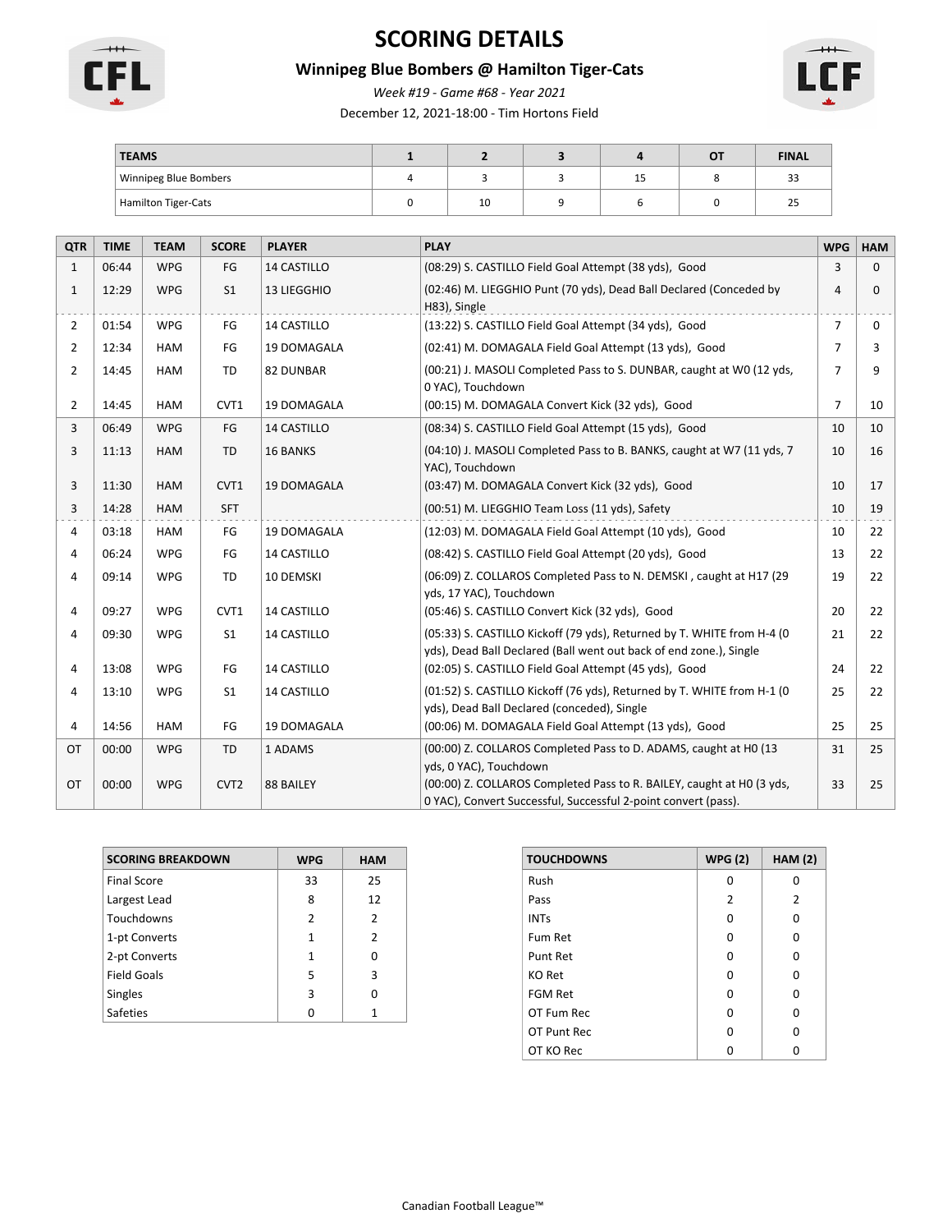

# **SCORING DETAILS**

## **Winnipeg Blue Bombers @ Hamilton Tiger-Cats**

*Week #19 - Game #68 - Year 2021*

December 12, 2021-18:00 - Tim Hortons Field



| <b>TEAMS</b>          |    |         | OT | <b>FINAL</b> |
|-----------------------|----|---------|----|--------------|
| Winnipeg Blue Bombers |    | <b></b> |    | ن ف          |
| Hamilton Tiger-Cats   | 10 |         |    | تے           |

| <b>QTR</b>     | <b>TIME</b> | <b>TEAM</b> | <b>SCORE</b>     | <b>PLAYER</b>      | <b>PLAY</b>                                                                                                                                                       | <b>WPG</b>     | <b>HAM</b> |
|----------------|-------------|-------------|------------------|--------------------|-------------------------------------------------------------------------------------------------------------------------------------------------------------------|----------------|------------|
| $\mathbf{1}$   | 06:44       | <b>WPG</b>  | FG               | <b>14 CASTILLO</b> | (08:29) S. CASTILLO Field Goal Attempt (38 yds), Good                                                                                                             |                | 0          |
| $\mathbf{1}$   | 12:29       | <b>WPG</b>  | S <sub>1</sub>   | 13 LIEGGHIO        | (02:46) M. LIEGGHIO Punt (70 yds), Dead Ball Declared (Conceded by<br>H83), Single                                                                                | 4              | 0          |
| $\overline{2}$ | 01:54       | <b>WPG</b>  | FG               | 14 CASTILLO        | (13:22) S. CASTILLO Field Goal Attempt (34 yds), Good                                                                                                             | $\overline{7}$ | 0          |
| $\overline{2}$ | 12:34       | <b>HAM</b>  | FG               | 19 DOMAGALA        | (02:41) M. DOMAGALA Field Goal Attempt (13 yds), Good                                                                                                             | 7              | 3          |
| $\overline{2}$ | 14:45       | <b>HAM</b>  | <b>TD</b>        | <b>82 DUNBAR</b>   | (00:21) J. MASOLI Completed Pass to S. DUNBAR, caught at W0 (12 yds,<br>0 YAC), Touchdown                                                                         | $\overline{7}$ | 9          |
| $\overline{2}$ | 14:45       | <b>HAM</b>  | CVT1             | 19 DOMAGALA        | (00:15) M. DOMAGALA Convert Kick (32 yds), Good                                                                                                                   | $\overline{7}$ | 10         |
| 3              | 06:49       | <b>WPG</b>  | FG               | 14 CASTILLO        | (08:34) S. CASTILLO Field Goal Attempt (15 yds), Good                                                                                                             | 10             | 10         |
| 3              | 11:13       | <b>HAM</b>  | <b>TD</b>        | <b>16 BANKS</b>    | (04:10) J. MASOLI Completed Pass to B. BANKS, caught at W7 (11 yds, 7<br>YAC), Touchdown                                                                          | 10             | 16         |
| 3              | 11:30       | <b>HAM</b>  | CVT1             | 19 DOMAGALA        | (03:47) M. DOMAGALA Convert Kick (32 yds), Good                                                                                                                   | 10             | 17         |
| 3              | 14:28       | <b>HAM</b>  | <b>SFT</b>       |                    | (00:51) M. LIEGGHIO Team Loss (11 yds), Safety                                                                                                                    | 10             | 19         |
| 4              | 03:18       | HAM         | FG               | 19 DOMAGALA        | (12:03) M. DOMAGALA Field Goal Attempt (10 yds), Good                                                                                                             | 10             | 22         |
| 4              | 06:24       | <b>WPG</b>  | FG               | 14 CASTILLO        | (08:42) S. CASTILLO Field Goal Attempt (20 yds), Good                                                                                                             | 13             | 22         |
| 4              | 09:14       | <b>WPG</b>  | <b>TD</b>        | 10 DEMSKI          | (06:09) Z. COLLAROS Completed Pass to N. DEMSKI, caught at H17 (29<br>yds, 17 YAC), Touchdown                                                                     | 19             | 22         |
| 4              | 09:27       | <b>WPG</b>  | CVT1             | 14 CASTILLO        | (05:46) S. CASTILLO Convert Kick (32 yds), Good                                                                                                                   | 20             | 22         |
| 4              | 09:30       | <b>WPG</b>  | S <sub>1</sub>   | 14 CASTILLO        | (05:33) S. CASTILLO Kickoff (79 yds), Returned by T. WHITE from H-4 (0<br>yds), Dead Ball Declared (Ball went out back of end zone.), Single                      | 21             | 22         |
| 4              | 13:08       | <b>WPG</b>  | FG               | 14 CASTILLO        | (02:05) S. CASTILLO Field Goal Attempt (45 yds), Good                                                                                                             | 24             | 22         |
| 4              | 13:10       | <b>WPG</b>  | S <sub>1</sub>   | 14 CASTILLO        | (01:52) S. CASTILLO Kickoff (76 yds), Returned by T. WHITE from H-1 (0<br>yds), Dead Ball Declared (conceded), Single                                             | 25             | 22         |
| 4              | 14:56       | <b>HAM</b>  | FG               | 19 DOMAGALA        | (00:06) M. DOMAGALA Field Goal Attempt (13 yds), Good                                                                                                             | 25             | 25         |
| OT             | 00:00       | <b>WPG</b>  | TD               | 1 ADAMS            | (00:00) Z. COLLAROS Completed Pass to D. ADAMS, caught at H0 (13                                                                                                  | 31             | 25         |
| <b>OT</b>      | 00:00       | <b>WPG</b>  | CVT <sub>2</sub> | 88 BAILEY          | yds, 0 YAC), Touchdown<br>(00:00) Z. COLLAROS Completed Pass to R. BAILEY, caught at H0 (3 yds,<br>0 YAC), Convert Successful, Successful 2-point convert (pass). | 33             | 25         |

| <b>SCORING BREAKDOWN</b> | <b>WPG</b>     | <b>HAM</b>    |
|--------------------------|----------------|---------------|
| <b>Final Score</b>       | 33             | 25            |
| Largest Lead             | 8              | 12            |
| Touchdowns               | $\overline{2}$ | 2             |
| 1-pt Converts            | 1              | $\mathcal{P}$ |
| 2-pt Converts            | 1              | U             |
| <b>Field Goals</b>       | 5              | 3             |
| <b>Singles</b>           | 3              | ŋ             |
| <b>Safeties</b>          | n              |               |

| <b>TOUCHDOWNS</b> | <b>WPG (2)</b> | HAM(2) |
|-------------------|----------------|--------|
| Rush              | O              | O      |
| Pass              | 2              | 2      |
| <b>INTs</b>       | O              | O      |
| Fum Ret           | O              | U      |
| Punt Ret          | O              | O      |
| <b>KO Ret</b>     | O              | O      |
| FGM Ret           | O              | O      |
| OT Fum Rec        | ŋ              | ŋ      |
| OT Punt Rec       | O              | ŋ      |
| OT KO Rec         |                |        |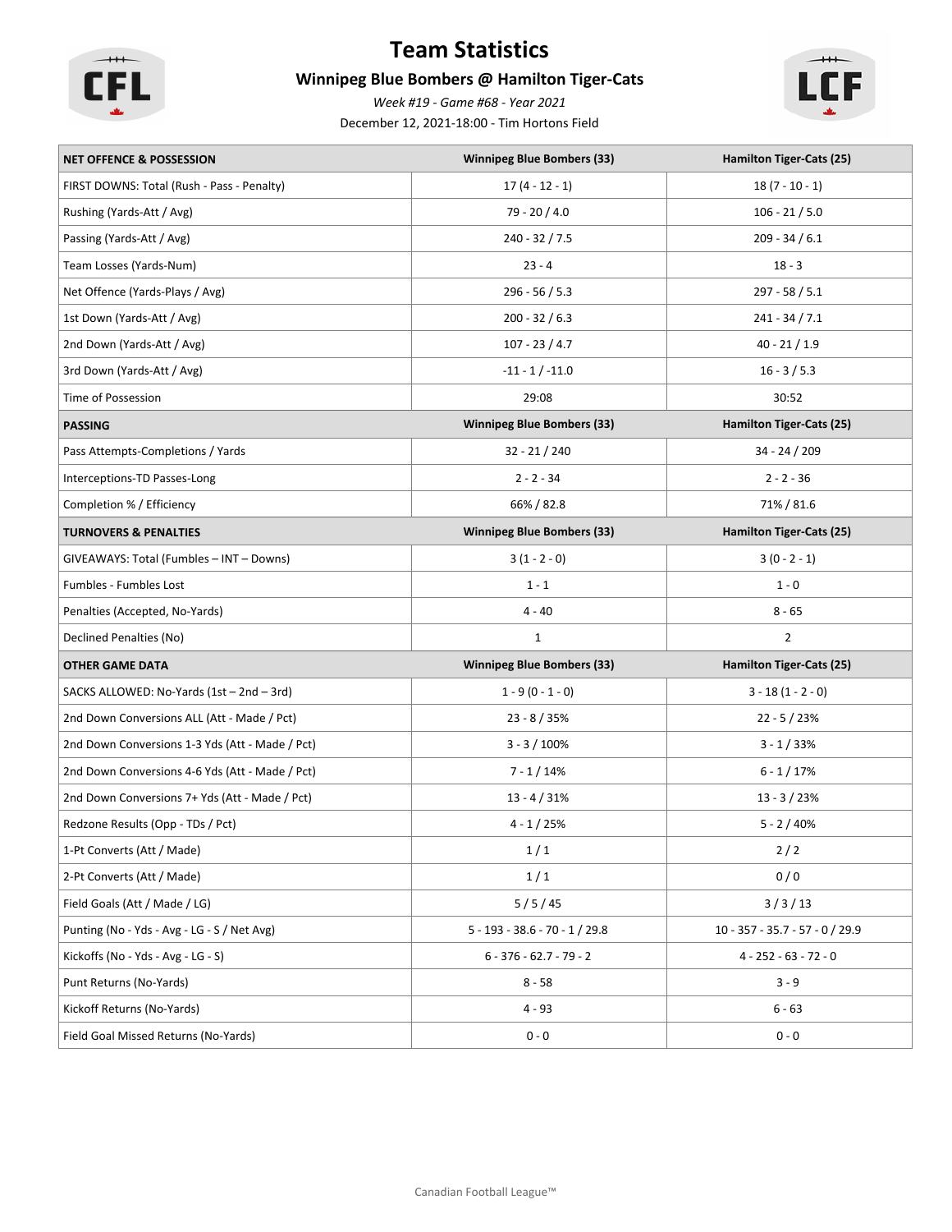

# **Team Statistics**

## **Winnipeg Blue Bombers @ Hamilton Tiger-Cats**

*Week #19 - Game #68 - Year 2021*

December 12, 2021-18:00 - Tim Hortons Field



| <b>NET OFFENCE &amp; POSSESSION</b>             | <b>Winnipeg Blue Bombers (33)</b> | Hamilton Tiger-Cats (25)          |
|-------------------------------------------------|-----------------------------------|-----------------------------------|
| FIRST DOWNS: Total (Rush - Pass - Penalty)      | $17(4 - 12 - 1)$                  | $18(7 - 10 - 1)$                  |
| Rushing (Yards-Att / Avg)                       | 79 - 20 / 4.0                     | $106 - 21 / 5.0$                  |
| Passing (Yards-Att / Avg)                       | 240 - 32 / 7.5                    | $209 - 34 / 6.1$                  |
| Team Losses (Yards-Num)                         | $23 - 4$                          | $18 - 3$                          |
| Net Offence (Yards-Plays / Avg)                 | $296 - 56 / 5.3$                  | $297 - 58 / 5.1$                  |
| 1st Down (Yards-Att / Avg)                      | $200 - 32 / 6.3$                  | $241 - 34 / 7.1$                  |
| 2nd Down (Yards-Att / Avg)                      | $107 - 23 / 4.7$                  | $40 - 21 / 1.9$                   |
| 3rd Down (Yards-Att / Avg)                      | $-11 - 1 / -11.0$                 | $16 - 3 / 5.3$                    |
| Time of Possession                              | 29:08                             | 30:52                             |
| <b>PASSING</b>                                  | <b>Winnipeg Blue Bombers (33)</b> | Hamilton Tiger-Cats (25)          |
| Pass Attempts-Completions / Yards               | $32 - 21 / 240$                   | $34 - 24 / 209$                   |
| Interceptions-TD Passes-Long                    | $2 - 2 - 34$                      | $2 - 2 - 36$                      |
| Completion % / Efficiency                       | 66% / 82.8                        | 71% / 81.6                        |
| <b>TURNOVERS &amp; PENALTIES</b>                | <b>Winnipeg Blue Bombers (33)</b> | <b>Hamilton Tiger-Cats (25)</b>   |
| GIVEAWAYS: Total (Fumbles - INT - Downs)        | $3(1 - 2 - 0)$                    | $3(0 - 2 - 1)$                    |
| Fumbles - Fumbles Lost                          | $1 - 1$                           | $1 - 0$                           |
| Penalties (Accepted, No-Yards)                  | $4 - 40$                          | $8 - 65$                          |
| Declined Penalties (No)                         | $\mathbf{1}$                      | $\overline{2}$                    |
| <b>OTHER GAME DATA</b>                          | <b>Winnipeg Blue Bombers (33)</b> | Hamilton Tiger-Cats (25)          |
| SACKS ALLOWED: No-Yards (1st - 2nd - 3rd)       | $1 - 9(0 - 1 - 0)$                | $3 - 18(1 - 2 - 0)$               |
| 2nd Down Conversions ALL (Att - Made / Pct)     | $23 - 8 / 35%$                    | $22 - 5 / 23%$                    |
| 2nd Down Conversions 1-3 Yds (Att - Made / Pct) | $3 - 3 / 100%$                    | $3 - 1 / 33%$                     |
| 2nd Down Conversions 4-6 Yds (Att - Made / Pct) | $7 - 1/14%$                       | $6 - 1/17%$                       |
| 2nd Down Conversions 7+ Yds (Att - Made / Pct)  | $13 - 4 / 31%$                    | $13 - 3 / 23%$                    |
| Redzone Results (Opp - TDs / Pct)               | $4 - 1 / 25%$                     | $5 - 2 / 40%$                     |
| 1-Pt Converts (Att / Made)                      | 1/1                               | $2/2$                             |
| 2-Pt Converts (Att / Made)                      | 1/1                               | 0/0                               |
| Field Goals (Att / Made / LG)                   | 5/5/45                            | 3/3/13                            |
| Punting (No - Yds - Avg - LG - S / Net Avg)     | $5 - 193 - 38.6 - 70 - 1 / 29.8$  | $10 - 357 - 35.7 - 57 - 0 / 29.9$ |
| Kickoffs (No - Yds - Avg - LG - S)              | $6 - 376 - 62.7 - 79 - 2$         | $4 - 252 - 63 - 72 - 0$           |
| Punt Returns (No-Yards)                         | $8 - 58$                          | $3 - 9$                           |
| Kickoff Returns (No-Yards)                      | $4 - 93$                          | $6 - 63$                          |
| Field Goal Missed Returns (No-Yards)            | $0 - 0$                           | $0 - 0$                           |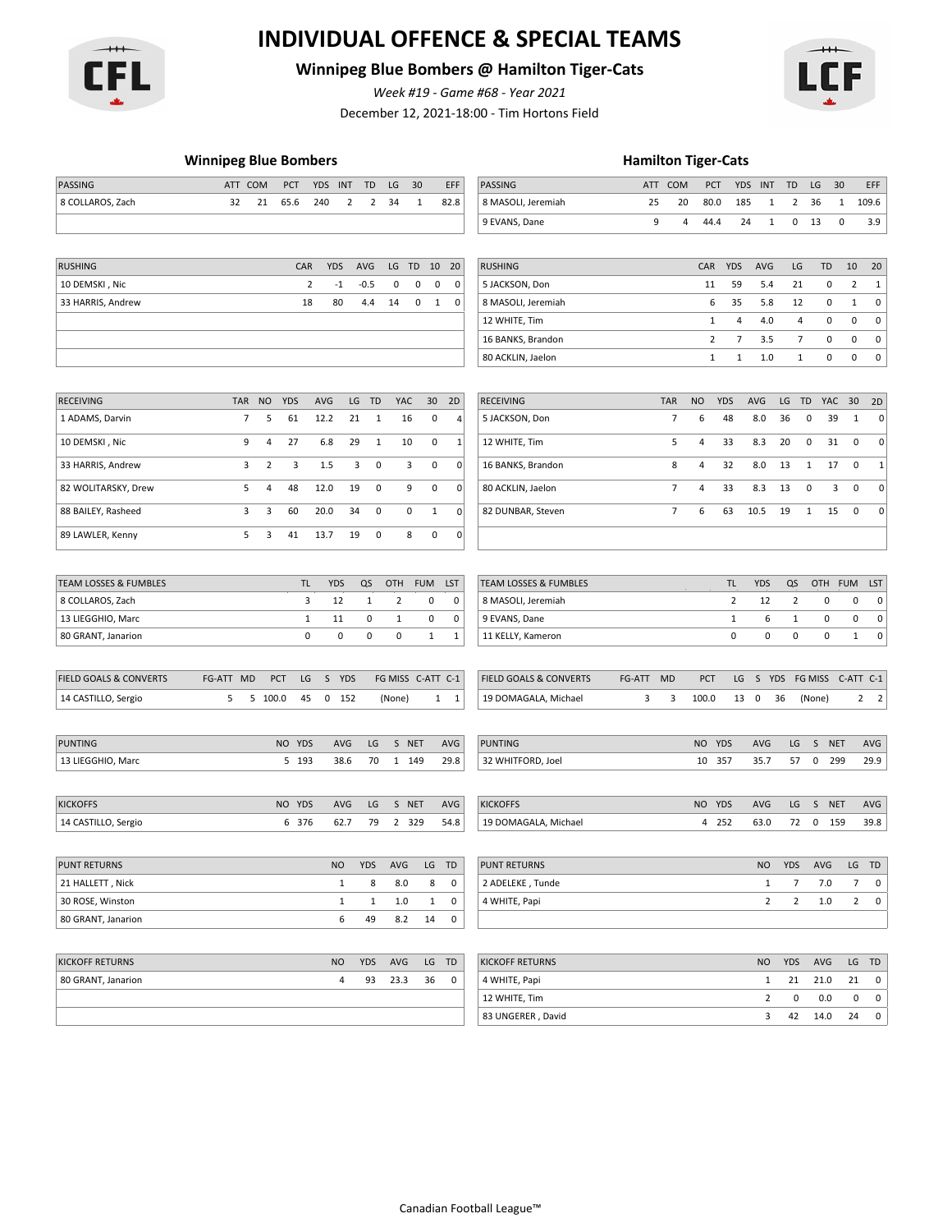

# **INDIVIDUAL OFFENCE & SPECIAL TEAMS**

# **Winnipeg Blue Bombers @ Hamilton Tiger-Cats**

*Week #19 - Game #68 - Year 2021*

December 12, 2021-18:00 - Tim Hortons Field



#### **Winnipeg Blue Bombers Hamilton Tiger-Cats**

| PASSING                           | ATT COM    |                | PCT          | <b>YDS</b><br>INT      |    | TD           | LG           | 30                |              | EFF          | PASSING                          |        | ATT COM        |                | PCT            | <b>YDS</b><br>INT | TD           |                | LG<br>30        |                | EFF                      |
|-----------------------------------|------------|----------------|--------------|------------------------|----|--------------|--------------|-------------------|--------------|--------------|----------------------------------|--------|----------------|----------------|----------------|-------------------|--------------|----------------|-----------------|----------------|--------------------------|
| 8 COLLAROS, Zach                  | 32         | 21             | 65.6         | 240                    | 2  | 2            | 34           | 1                 |              | 82.8         | 8 MASOLI, Jeremiah               | 25     | 20             | 80.0           |                | 185               | 1            | 2              | 36              | 1              | 109.6                    |
|                                   |            |                |              |                        |    |              |              |                   |              |              | 9 EVANS, Dane                    | 9      | 4              | 44.4           |                | 24                | $\mathbf{1}$ | $\pmb{0}$      | 13              | $\mathbf 0$    | 3.9                      |
| <b>RUSHING</b>                    |            |                | CAR          | <b>YDS</b>             |    | AVG          |              | LG TD 10          |              | 20           | <b>RUSHING</b>                   |        |                | CAR            | <b>YDS</b>     | AVG               |              | LG             | <b>TD</b>       | 10             | 20                       |
| 10 DEMSKI, Nic                    |            |                |              | $\overline{2}$<br>$-1$ |    | $-0.5$       | 0            | 0                 | 0            | 0            | 5 JACKSON, Don                   |        |                | 11             | 59             | 5.4               |              | 21             | $\mathbf 0$     | $\overline{2}$ | $\mathbf{1}$             |
| 33 HARRIS, Andrew                 |            |                | 18           | 80                     |    | 4.4          | 14           | 0                 | 1            | 0            | 8 MASOLI, Jeremiah               |        |                | 6              | 35             | 5.8               |              | 12             | $\mathbf 0$     | $\mathbf{1}$   | 0                        |
|                                   |            |                |              |                        |    |              |              |                   |              |              | 12 WHITE, Tim                    |        |                | $\mathbf{1}$   | 4              | 4.0               |              | 4              | $\pmb{0}$       | 0              | 0                        |
|                                   |            |                |              |                        |    |              |              |                   |              |              | 16 BANKS, Brandon                |        |                | $\overline{2}$ | 7              | 3.5               |              | $\overline{7}$ | $\pmb{0}$       | 0              | $\pmb{0}$                |
|                                   |            |                |              |                        |    |              |              |                   |              |              | 80 ACKLIN, Jaelon                |        |                | $\mathbf{1}$   | $\mathbf{1}$   | 1.0               |              | $\mathbf{1}$   | $\pmb{0}$       | 0              | $\mathbf 0$              |
| <b>RECEIVING</b>                  | <b>TAR</b> | <b>NO</b>      | <b>YDS</b>   | AVG                    | LG | <b>TD</b>    | YAC          |                   | 30           | 2D           | <b>RECEIVING</b>                 |        | <b>TAR</b>     | <b>NO</b>      | <b>YDS</b>     | AVG               | LG           | <b>TD</b>      | YAC             | 30             | 2D                       |
| 1 ADAMS, Darvin                   | 7          | 5              | 61           | 12.2                   | 21 | $\mathbf{1}$ | 16           |                   | 0            | 4            | 5 JACKSON, Don                   |        | $\overline{7}$ | 6              | 48             | 8.0               | 36           | 0              | 39              | 1              | 0                        |
| 10 DEMSKI, Nic                    | 9          | 4              | 27           | 6.8                    | 29 | $\mathbf{1}$ |              | 10                | $\mathbf 0$  | $\mathbf{1}$ | 12 WHITE, Tim                    |        | 5              | 4              | 33             | 8.3               | 20           | $\mathbf 0$    | 31              | $\mathbf 0$    | 0                        |
| 33 HARRIS, Andrew                 | 3          | $\overline{2}$ | 3            | 1.5                    | 3  | $\mathbf 0$  |              | 3                 | $\mathbf 0$  | 0            | 16 BANKS, Brandon                |        | 8              | 4              | 32             | 8.0               | 13           | 1              | 17              | $\mathbf 0$    | 1                        |
| 82 WOLITARSKY, Drew               | 5          | 4              | 48           | 12.0                   | 19 | $\mathbf 0$  |              | 9                 | $\mathbf 0$  | $\mathbf 0$  | 80 ACKLIN, Jaelon                |        | $\overline{7}$ | 4              | 33             | 8.3               | 13           | 0              | 3               | $\mathbf 0$    | 0                        |
| 88 BAILEY, Rasheed                | 3          | 3              | 60           | 20.0                   | 34 | $\mathbf 0$  |              | $\pmb{0}$         | $\mathbf{1}$ | $\pmb{0}$    | 82 DUNBAR, Steven                |        | $\overline{7}$ | 6              | 63             | 10.5              | 19           | $\mathbf{1}$   | 15              | $\mathbf 0$    | 0                        |
| 89 LAWLER, Kenny                  | 5          | 3              | 41           | 13.7                   | 19 | $\mathbf 0$  |              | 8                 | $\mathbf 0$  | $\mathbf 0$  |                                  |        |                |                |                |                   |              |                |                 |                |                          |
|                                   |            |                |              |                        |    |              |              |                   |              |              |                                  |        |                |                |                |                   |              |                |                 |                |                          |
| <b>TEAM LOSSES &amp; FUMBLES</b>  |            |                | TL.          | <b>YDS</b>             |    | QS           | <b>OTH</b>   | <b>FUM</b>        |              | <b>LST</b>   | <b>TEAM LOSSES &amp; FUMBLES</b> |        |                |                | TL             | <b>YDS</b>        | QS           |                | OTH FUM         |                | LST                      |
| 8 COLLAROS, Zach                  |            |                | 3            | 12                     |    | 1            | 2            |                   | 0            | 0            | 8 MASOLI, Jeremiah               |        |                |                | $\overline{2}$ | 12                |              | $\overline{2}$ | 0               | 0              | $\boldsymbol{0}$         |
| 13 LIEGGHIO, Marc                 |            |                | $\mathbf{1}$ | 11                     |    | 0            | $\mathbf{1}$ |                   | 0            | 0            | 9 EVANS, Dane                    |        |                |                | $\mathbf{1}$   | 6                 |              | 1              | 0               | 0              | $\boldsymbol{0}$         |
| 80 GRANT, Janarion                |            |                | $\mathbf 0$  | $\pmb{0}$              |    | $\mathbf 0$  | $\pmb{0}$    |                   | 1            | 1            | 11 KELLY, Kameron                |        |                |                | $\pmb{0}$      | $\pmb{0}$         |              | 0              | 0               | $\mathbf{1}$   | $\pmb{0}$                |
| <b>FIELD GOALS &amp; CONVERTS</b> | FG-ATT MD  | PCT            | LG           | S YDS                  |    |              |              | FG MISS C-ATT C-1 |              |              | FIELD GOALS & CONVERTS           | FG-ATT | <b>MD</b>      | PCT            | LG             | S                 | YDS          | FG MISS        |                 |                | C-ATT C-1                |
| 14 CASTILLO, Sergio               | 5          | 5 100.0        | 45           | $0$ 152                |    |              | (None)       |                   |              | $1 \quad 1$  | 19 DOMAGALA, Michael             | 3      | 3              | 100.0          |                | 13 0              | 36           | (None)         |                 |                | $2 \quad 2$              |
|                                   |            |                |              |                        |    |              |              |                   |              |              |                                  |        |                |                |                |                   |              |                |                 |                |                          |
| <b>PUNTING</b>                    |            |                | NO YDS       | AVG                    |    | LG           |              | S NET             |              | AVG          | <b>PUNTING</b>                   |        |                |                | NO YDS         | AVG               |              | LG             | S NET           |                | AVG                      |
| 13 LIEGGHIO, Marc                 |            |                | 5 193        | 38.6                   |    | 70           |              | 1 149             |              | 29.8         | 32 WHITFORD, Joel                |        |                |                | 10 357         | 35.7              |              | 57             | $0$ 299         |                | 29.9                     |
| <b>KICKOFFS</b>                   |            |                | NO YDS       | <b>AVG</b>             |    | LG           |              | S NET             |              | AVG          | <b>KICKOFFS</b>                  |        |                | NO YDS         |                | AVG               |              | LG             | S<br><b>NET</b> |                | AVG                      |
| 14 CASTILLO, Sergio               |            |                | 6 376        | 62.7                   |    | 79           |              | 2 329             |              | 54.8         | 19 DOMAGALA, Michael             |        |                |                | 4 252          | 63.0              |              | 72             | 0<br>159        |                | 39.8                     |
|                                   |            |                |              |                        |    |              |              |                   |              |              |                                  |        |                |                |                |                   |              |                |                 |                |                          |
| <b>PUNT RETURNS</b>               |            |                |              | <b>NO</b>              |    | <b>YDS</b>   | AVG          |                   |              | LG TD        | <b>PUNT RETURNS</b>              |        |                |                |                | <b>NO</b>         | <b>YDS</b>   |                | AVG             |                | LG TD                    |
| 21 HALLETT, Nick                  |            |                |              | $\mathbf{1}$           |    | 8            | 8.0          |                   | 8            | 0            | 2 ADELEKE, Tunde                 |        |                |                |                | $\mathbf{1}$      |              | $\overline{7}$ | 7.0             |                | $7\quad 0$               |
| 30 ROSE, Winston                  |            |                |              | $\mathbf{1}$           |    | $\mathbf{1}$ | 1.0          |                   | $\mathbf{1}$ | 0            | 4 WHITE, Papi                    |        |                |                |                | $\overline{2}$    |              | $\overline{2}$ | 1.0             |                | $2 \t 0$                 |
| 80 GRANT, Janarion                |            |                |              | 6                      |    | 49           | 8.2          |                   | 14           | 0            |                                  |        |                |                |                |                   |              |                |                 |                |                          |
| <b>KICKOFF RETURNS</b>            |            |                |              | <b>NO</b>              |    | YDS          | AVG          |                   |              | LG TD        | <b>KICKOFF RETURNS</b>           |        |                |                |                | <b>NO</b>         | YDS          |                | AVG             |                | LG TD                    |
| 80 GRANT, Janarion                |            |                |              | 4                      |    | 93           | 23.3         |                   | 36           | 0            | 4 WHITE, Papi                    |        |                |                |                | $\mathbf{1}$      | 21           |                | 21.0            | 21             | $\overline{\phantom{0}}$ |
|                                   |            |                |              |                        |    |              |              |                   |              |              | 12 WHITE, Tim                    |        |                |                |                | $\overline{2}$    |              | 0              | 0.0             | 0              | $\overline{\mathbf{0}}$  |
|                                   |            |                |              |                        |    |              |              |                   |              |              | 83 UNGERER, David                |        |                |                |                | 3                 |              | 42             | 14.0            |                | 24 0                     |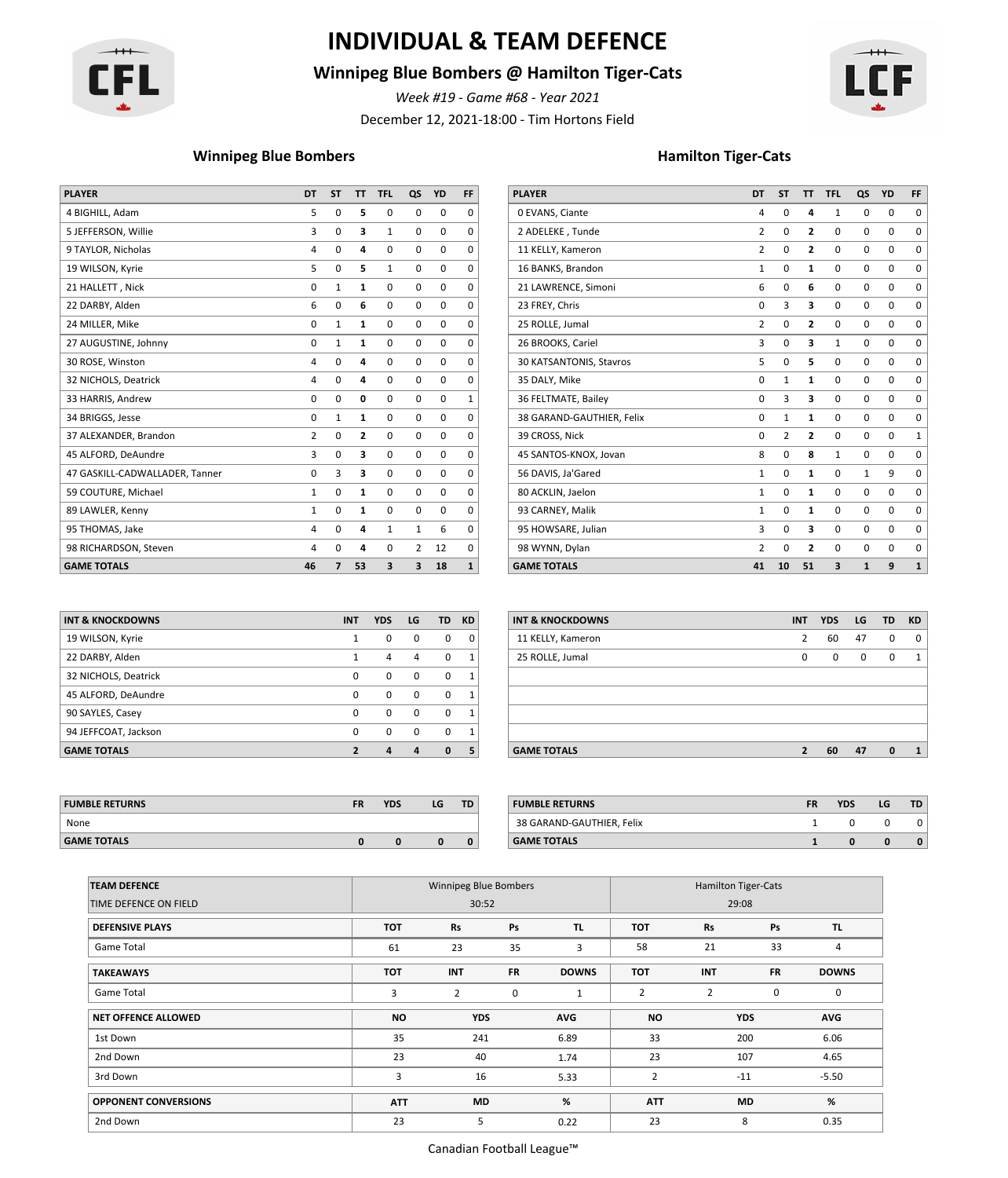

# **INDIVIDUAL & TEAM DEFENCE**

### **Winnipeg Blue Bombers @ Hamilton Tiger-Cats**

*Week #19 - Game #68 - Year 2021*

December 12, 2021-18:00 - Tim Hortons Field



### **Winnipeg Blue Bombers Hamilton Tiger-Cats**

| <b>PLAYER</b>                  | <b>DT</b>      | <b>ST</b>      | T              | <b>TFL</b>  | QS             | <b>YD</b>   | FF.          |
|--------------------------------|----------------|----------------|----------------|-------------|----------------|-------------|--------------|
|                                | 5              |                |                | 0           | 0              | 0           | 0            |
|                                | 3              | $\mathbf 0$    | 3              | 1           | 0              | $\mathbf 0$ | $\Omega$     |
| 9 TAYLOR, Nicholas             | 4              | 0              | 4              | $\mathbf 0$ | 0              | 0           | $\Omega$     |
| 19 WILSON, Kyrie               | 5.             | $\mathbf 0$    | 5              | 1           | 0              | $\mathbf 0$ | $\Omega$     |
| 21 HALLETT, Nick               | $\mathbf 0$    |                | 1              | $\mathbf 0$ | $\mathbf{0}$   | $\mathbf 0$ | $\Omega$     |
| 22 DARBY, Alden                | 6              | $\Omega$       | 6              | 0           | $\mathbf{0}$   | $\mathbf 0$ | 0            |
| 24 MILLER, Mike                | 0              |                | 1              | $\mathbf 0$ | $\mathbf{0}$   | $\mathbf 0$ | 0            |
| 27 AUGUSTINE, Johnny           | $\mathbf 0$    |                | 1              | 0           | 0              | 0           | $\Omega$     |
| 30 ROSE, Winston               | 4              | $\mathbf 0$    | 4              | 0           | $\mathbf{0}$   | $\mathbf 0$ | $\Omega$     |
| 32 NICHOLS, Deatrick           | 4              | $\Omega$       | 4              | 0           | $\mathbf{0}$   | $\mathbf 0$ | $\Omega$     |
| 33 HARRIS, Andrew              | $\mathbf 0$    | $\Omega$       | 0              | 0           | 0              | $\mathbf 0$ | 1            |
| 34 BRIGGS, Jesse               | $\mathbf 0$    |                | 1              | $\mathbf 0$ | $\mathbf{0}$   | $\mathbf 0$ | 0            |
| 37 ALEXANDER, Brandon          | $\overline{2}$ | $\Omega$       | $\overline{2}$ | $\mathbf 0$ | 0              | $\mathbf 0$ | $\Omega$     |
| 45 ALFORD, DeAundre            | 3              | $\mathbf 0$    | 3              | 0           | $\mathbf{0}$   | $\mathbf 0$ | $\Omega$     |
| 47 GASKILL-CADWALLADER, Tanner | 0              |                | 3              | $\mathbf 0$ | $\mathbf{0}$   | $\mathbf 0$ | $\Omega$     |
| 59 COUTURE, Michael            | $\mathbf{1}$   | 0              | 1              | 0           | $\mathbf{0}$   | $\mathbf 0$ | $\Omega$     |
| 89 LAWLER, Kenny               | 1              | $\Omega$       |                | $\mathbf 0$ | $\mathbf 0$    | $\mathbf 0$ | $\Omega$     |
| 95 THOMAS, Jake                | 4              | $\Omega$       | 4              | 1           | $\mathbf{1}$   | 6           | $\Omega$     |
| 98 RICHARDSON, Steven          | 4              | $\Omega$       | 4              | 0           | $\overline{2}$ | 12          | $\Omega$     |
| <b>GAME TOTALS</b>             | 46             | $\overline{ }$ | 53             | 3           | 3              | 18          | $\mathbf{1}$ |

| <b>PLAYER</b>             | DT             | <b>ST</b>      | <b>TT</b>               | <b>TFL</b>   | QS           | <b>YD</b>   | FF           |
|---------------------------|----------------|----------------|-------------------------|--------------|--------------|-------------|--------------|
| 0 EVANS, Ciante           | 4              | $\mathbf 0$    | 4                       | $\mathbf{1}$ | 0            | 0           | 0            |
| 2 ADELEKE, Tunde          | $\overline{2}$ | $\Omega$       | $\overline{2}$          | 0            | $\mathbf 0$  | $\mathbf 0$ | $\mathbf 0$  |
| 11 KELLY, Kameron         | $\overline{2}$ | $\mathbf 0$    | $\overline{2}$          | 0            | $\mathbf 0$  | 0           | 0            |
| 16 BANKS, Brandon         | $\mathbf{1}$   | $\mathbf 0$    | $\mathbf{1}$            | 0            | $\mathbf 0$  | $\mathbf 0$ | $\mathbf 0$  |
| 21 LAWRENCE, Simoni       | 6              | $\mathbf 0$    | 6                       | 0            | $\mathbf 0$  | $\mathbf 0$ | $\mathbf 0$  |
| 23 FREY, Chris            | $\mathbf 0$    | 3              | 3                       | 0            | $\mathbf 0$  | 0           | 0            |
| 25 ROLLE, Jumal           | $\overline{2}$ | $\mathbf 0$    | $\overline{2}$          | 0            | $\mathbf 0$  | $\mathbf 0$ | $\mathbf 0$  |
| 26 BROOKS, Cariel         | 3              | $\mathbf 0$    | 3                       | $\mathbf{1}$ | $\mathbf 0$  | 0           | $\mathbf 0$  |
| 30 KATSANTONIS, Stavros   | 5              | $\mathbf 0$    | 5                       | 0            | 0            | 0           | 0            |
| 35 DALY, Mike             | $\mathbf 0$    | $\mathbf{1}$   | $\mathbf{1}$            | 0            | $\mathbf 0$  | $\mathbf 0$ | $\mathbf 0$  |
| 36 FELTMATE, Bailey       | $\mathbf 0$    | 3              | 3                       | 0            | $\mathbf 0$  | $\mathbf 0$ | 0            |
| 38 GARAND-GAUTHIER, Felix | $\Omega$       | $\mathbf{1}$   | $\mathbf{1}$            | 0            | $\mathbf 0$  | $\mathbf 0$ | $\mathbf 0$  |
| 39 CROSS, Nick            | 0              | $\overline{2}$ | $\overline{2}$          | 0            | $\mathbf 0$  | 0           | $\mathbf{1}$ |
| 45 SANTOS-KNOX, Jovan     | 8              | $\mathbf 0$    | 8                       | 1            | $\mathbf 0$  | 0           | $\mathbf 0$  |
| 56 DAVIS, Ja'Gared        | $\mathbf{1}$   | $\mathbf 0$    | $\mathbf{1}$            | 0            | $\mathbf{1}$ | 9           | $\mathbf 0$  |
| 80 ACKLIN, Jaelon         | $\mathbf{1}$   | $\mathbf 0$    | $\mathbf{1}$            | 0            | $\mathbf 0$  | $\mathbf 0$ | 0            |
| 93 CARNEY, Malik          | $\mathbf{1}$   | $\mathbf 0$    | 1                       | 0            | $\mathbf 0$  | 0           | $\mathbf 0$  |
| 95 HOWSARE, Julian        | 3              | $\mathbf 0$    | 3                       | 0            | $\mathbf 0$  | 0           | 0            |
| 98 WYNN, Dylan            | $\overline{2}$ | $\mathbf 0$    | $\overline{\mathbf{c}}$ | 0            | $\mathbf 0$  | 0           | 0            |
| <b>GAME TOTALS</b>        | 41             | 10             | 51                      | 3            | $\mathbf{1}$ | 9           | $\mathbf{1}$ |

| <b>INT &amp; KNOCKDOWNS</b> | <b>INT</b> | <b>YDS</b> | LG       | <b>TD</b> | <b>KD</b>    |
|-----------------------------|------------|------------|----------|-----------|--------------|
| 19 WILSON, Kyrie            | 1          | 0          | $\Omega$ | 0         | 0            |
| 22 DARBY, Alden             | 1          | 4          | 4        | 0         | $\mathbf{1}$ |
| 32 NICHOLS, Deatrick        | 0          | 0          | $\Omega$ | $\Omega$  | $\mathbf{1}$ |
| 45 ALFORD, DeAundre         | 0          | 0          | $\Omega$ | $\Omega$  | $\mathbf{1}$ |
| 90 SAYLES, Casey            | 0          | 0          | $\Omega$ | $\Omega$  | $\mathbf{1}$ |
| 94 JEFFCOAT, Jackson        | 0          | 0          | $\Omega$ | $\Omega$  | $\mathbf{1}$ |
| <b>GAME TOTALS</b>          | ,          | 4          | 4        | $\bf{0}$  | 5            |

| INT & KNOCKDOWNS     | <b>INT</b>   | <b>YDS</b>     | LG          |              | TD KD        | <b>INT &amp; KNOCKDOWNS</b> | <b>INT</b>     | <b>YDS</b>  | LG           | TD.          | <b>KD</b> |
|----------------------|--------------|----------------|-------------|--------------|--------------|-----------------------------|----------------|-------------|--------------|--------------|-----------|
| 19 WILSON, Kyrie     |              | $\mathbf{0}$   | $\mathbf 0$ | $\mathbf 0$  | $\mathbf{0}$ | 11 KELLY, Kameron           |                | 60          | 47           | $\mathbf 0$  | 0         |
| 22 DARBY, Alden      |              | 4              | 4           | $\Omega$     |              | 25 ROLLE, Jumal             | $\mathbf{0}$   | $\mathbf 0$ | $\mathbf{0}$ | $\mathbf 0$  |           |
| 32 NICHOLS, Deatrick | $\Omega$     | $\Omega$       | 0           | $\Omega$     |              |                             |                |             |              |              |           |
| 45 ALFORD, DeAundre  | $\Omega$     | $\Omega$       | $\Omega$    | $\Omega$     | $\mathbf{1}$ |                             |                |             |              |              |           |
| 90 SAYLES, Casey     | $\Omega$     | $\Omega$       | $\Omega$    | $\Omega$     | $\mathbf{1}$ |                             |                |             |              |              |           |
| 94 JEFFCOAT, Jackson | $\Omega$     | $\Omega$       | $\mathbf 0$ | $\Omega$     | $\mathbf{1}$ |                             |                |             |              |              |           |
| <b>GAME TOTALS</b>   | $\mathbf{2}$ | $\overline{a}$ | 4           | $\mathbf{0}$ | 5            | <b>GAME TOTALS</b>          | $\overline{2}$ | 60          | 47           | $\mathbf{0}$ |           |
|                      |              |                |             |              |              |                             |                |             |              |              |           |

| <b>FUMBLE RETURNS</b> |  | <b>YDS</b> | LG | TD. | <b>FUMBLE RETURNS</b>     | <b>FR</b> | <b>YDS</b> | LG | <b>TD</b> |
|-----------------------|--|------------|----|-----|---------------------------|-----------|------------|----|-----------|
| None                  |  |            |    |     | 38 GARAND-GAUTHIER. Felix |           |            |    |           |
| <b>GAME TOTALS</b>    |  |            |    |     | <b>GAME TOTALS</b>        |           |            |    |           |

| <b>FUMBLE RETURNS</b>     | <b>FR</b> | <b>YDS</b> | LG | TD |
|---------------------------|-----------|------------|----|----|
| 38 GARAND-GAUTHIER, Felix |           |            |    |    |
| <b>GAME TOTALS</b>        |           |            |    |    |

| <b>TEAM DEFENCE</b>         |            | Winnipeg Blue Bombers |             |              | <b>Hamilton Tiger-Cats</b> |            |             |              |  |  |  |
|-----------------------------|------------|-----------------------|-------------|--------------|----------------------------|------------|-------------|--------------|--|--|--|
| TIME DEFENCE ON FIELD       |            | 30:52                 |             |              |                            | 29:08      |             |              |  |  |  |
| <b>DEFENSIVE PLAYS</b>      | <b>TOT</b> | Rs                    | Ps          | TL.          | <b>TOT</b>                 | <b>Rs</b>  | Ps          | TL.          |  |  |  |
| Game Total                  | 61         | 23                    | 35          | 3            | 58                         | 21         | 33          | 4            |  |  |  |
| <b>TAKEAWAYS</b>            | <b>TOT</b> | <b>INT</b>            | <b>FR</b>   | <b>DOWNS</b> | <b>TOT</b>                 | <b>INT</b> | <b>FR</b>   | <b>DOWNS</b> |  |  |  |
| Game Total                  | 3          | $\overline{2}$        | $\mathbf 0$ | 1            | 2                          | 2          | $\mathbf 0$ | 0            |  |  |  |
| <b>NET OFFENCE ALLOWED</b>  | <b>NO</b>  | <b>YDS</b>            |             | AVG          | <b>NO</b>                  |            | <b>YDS</b>  | AVG          |  |  |  |
| 1st Down                    | 35         | 241                   |             | 6.89         | 33                         |            | 200         | 6.06         |  |  |  |
| 2nd Down                    | 23         | 40                    |             | 1.74         | 23                         |            | 107         | 4.65         |  |  |  |
| 3rd Down                    | 3          | 16                    |             | 5.33         | 2                          | $-11$      |             | $-5.50$      |  |  |  |
| <b>OPPONENT CONVERSIONS</b> | <b>ATT</b> | <b>MD</b>             |             | %            | <b>ATT</b>                 |            | <b>MD</b>   | %            |  |  |  |
| 2nd Down                    | 23         | 5                     |             | 0.22         | 23                         |            | 8           | 0.35         |  |  |  |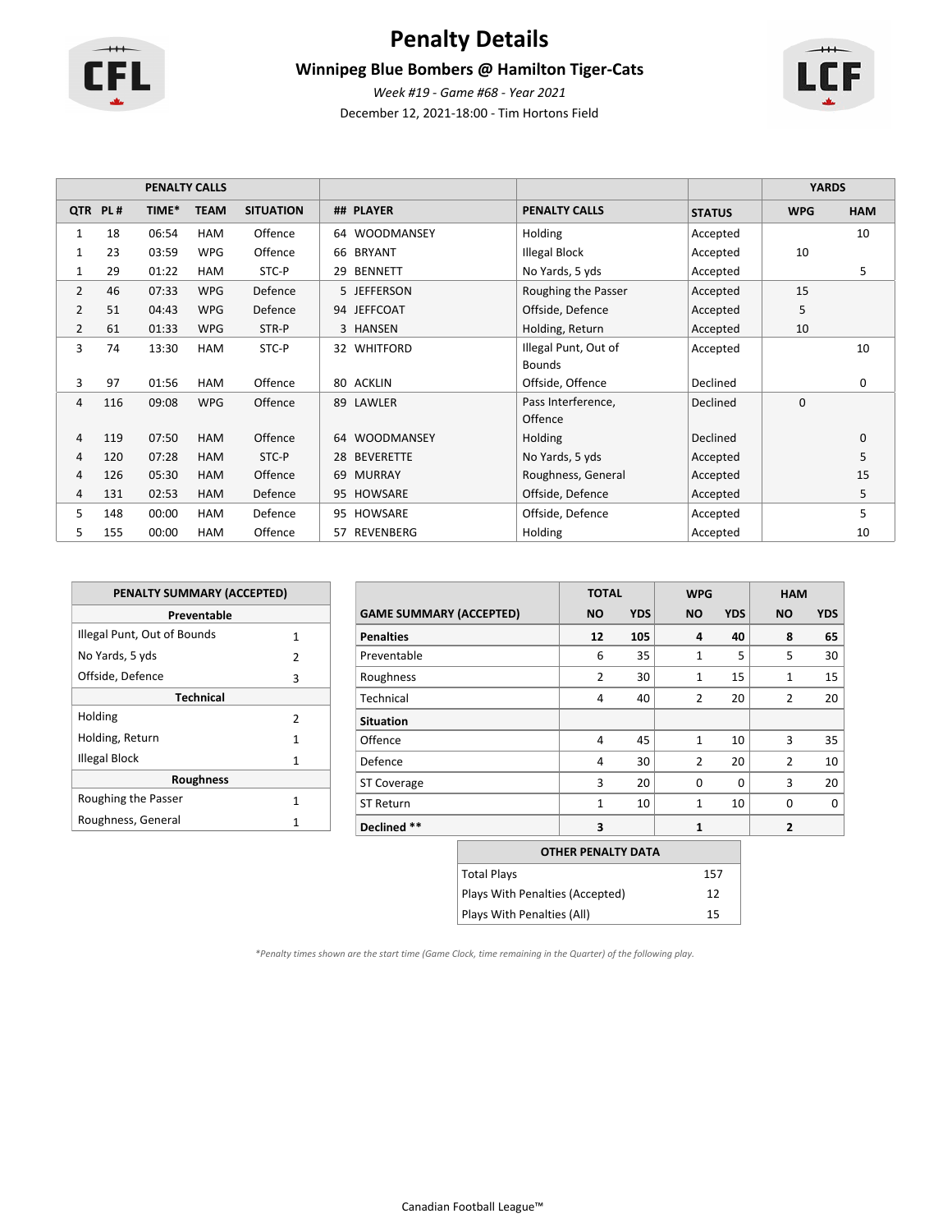

# **Penalty Details**

# **Winnipeg Blue Bombers @ Hamilton Tiger-Cats**

December 12, 2021-18:00 - Tim Hortons Field *Week #19 - Game #68 - Year 2021*

|                | <b>PENALTY CALLS</b> |       |             |                  |                         | <b>YARDS</b>         |               |             |              |
|----------------|----------------------|-------|-------------|------------------|-------------------------|----------------------|---------------|-------------|--------------|
|                | QTR PL#              | TIME* | <b>TEAM</b> | <b>SITUATION</b> | ## PLAYER               | <b>PENALTY CALLS</b> | <b>STATUS</b> | <b>WPG</b>  | <b>HAM</b>   |
| $\mathbf{1}$   | 18                   | 06:54 | <b>HAM</b>  | Offence          | <b>WOODMANSEY</b><br>64 | Holding              | Accepted      |             | 10           |
| 1              | 23                   | 03:59 | <b>WPG</b>  | Offence          | <b>BRYANT</b><br>66     | <b>Illegal Block</b> | Accepted      | 10          |              |
| 1              | 29                   | 01:22 | <b>HAM</b>  | STC-P            | 29<br><b>BENNETT</b>    | No Yards, 5 yds      | Accepted      |             | 5            |
| 2              | 46                   | 07:33 | <b>WPG</b>  | Defence          | 5 JEFFERSON             | Roughing the Passer  | Accepted      | 15          |              |
| $\overline{2}$ | 51                   | 04:43 | <b>WPG</b>  | Defence          | 94 JEFFCOAT             | Offside, Defence     | Accepted      | 5           |              |
| 2              | 61                   | 01:33 | <b>WPG</b>  | STR-P            | 3 HANSEN                | Holding, Return      | Accepted      | 10          |              |
| 3              | 74                   | 13:30 | <b>HAM</b>  | STC-P            | 32 WHITFORD             | Illegal Punt, Out of | Accepted      |             | 10           |
|                |                      |       |             |                  |                         | <b>Bounds</b>        |               |             |              |
| 3              | 97                   | 01:56 | <b>HAM</b>  | Offence          | 80 ACKLIN               | Offside, Offence     | Declined      |             | 0            |
| 4              | 116                  | 09:08 | <b>WPG</b>  | Offence          | 89 LAWLER               | Pass Interference,   | Declined      | $\mathbf 0$ |              |
|                |                      |       |             |                  |                         | Offence              |               |             |              |
| 4              | 119                  | 07:50 | <b>HAM</b>  | Offence          | <b>WOODMANSEY</b><br>64 | Holding              | Declined      |             | $\mathbf{0}$ |
| 4              | 120                  | 07:28 | HAM         | STC-P            | <b>BEVERETTE</b><br>28  | No Yards, 5 yds      | Accepted      |             | 5            |
| 4              | 126                  | 05:30 | <b>HAM</b>  | Offence          | <b>MURRAY</b><br>69     | Roughness, General   | Accepted      |             | 15           |
| 4              | 131                  | 02:53 | HAM         | Defence          | 95 HOWSARE              | Offside, Defence     | Accepted      |             | 5            |
| 5              | 148                  | 00:00 | <b>HAM</b>  | Defence          | HOWSARE<br>95           | Offside, Defence     | Accepted      |             | 5            |
| 5              | 155                  | 00:00 | HAM         | Offence          | REVENBERG<br>57         | Holding              | Accepted      |             | 10           |

| <b>PENALTY SUMMARY (ACCEPTED)</b> |   |  |  |  |  |  |  |  |  |  |  |
|-----------------------------------|---|--|--|--|--|--|--|--|--|--|--|
| Preventable                       |   |  |  |  |  |  |  |  |  |  |  |
| Illegal Punt, Out of Bounds       | 1 |  |  |  |  |  |  |  |  |  |  |
| No Yards, 5 yds                   | 2 |  |  |  |  |  |  |  |  |  |  |
| Offside, Defence                  | 3 |  |  |  |  |  |  |  |  |  |  |
| <b>Technical</b>                  |   |  |  |  |  |  |  |  |  |  |  |
| Holding                           | 2 |  |  |  |  |  |  |  |  |  |  |
| Holding, Return                   | 1 |  |  |  |  |  |  |  |  |  |  |
| Illegal Block                     | 1 |  |  |  |  |  |  |  |  |  |  |
| <b>Roughness</b>                  |   |  |  |  |  |  |  |  |  |  |  |
| Roughing the Passer               | 1 |  |  |  |  |  |  |  |  |  |  |
| Roughness, General                | 1 |  |  |  |  |  |  |  |  |  |  |

|                                |                    | <b>TOTAL</b>              |            | <b>WPG</b>   |            | <b>HAM</b>     |            |  |
|--------------------------------|--------------------|---------------------------|------------|--------------|------------|----------------|------------|--|
| <b>GAME SUMMARY (ACCEPTED)</b> |                    | <b>NO</b>                 | <b>YDS</b> | <b>NO</b>    | <b>YDS</b> | <b>NO</b>      | <b>YDS</b> |  |
| <b>Penalties</b>               |                    | 12                        | 105        | 4            | 40         | 8              | 65         |  |
| Preventable                    |                    | 6                         | 35         | $\mathbf{1}$ | 5          | 5              | 30         |  |
| Roughness                      |                    | 2                         | 30         | $\mathbf{1}$ | 15         | 1              | 15         |  |
| Technical                      |                    | 4                         | 40         | 2            | 20         | $\overline{2}$ | 20         |  |
| <b>Situation</b>               |                    |                           |            |              |            |                |            |  |
| Offence                        |                    | 4                         | 45         | $\mathbf{1}$ | 10         | 3              | 35         |  |
| Defence                        |                    | 4                         | 30         | 2            | 20         | $\overline{2}$ | 10         |  |
| <b>ST Coverage</b>             |                    | 3                         | 20         | 0            | $\Omega$   | 3              | 20         |  |
| <b>ST Return</b>               |                    | $\mathbf{1}$              | 10         | $\mathbf{1}$ | 10         | $\Omega$       | 0          |  |
| Declined **                    |                    | 3                         |            | $\mathbf{1}$ |            | $\overline{2}$ |            |  |
|                                |                    | <b>OTHER PENALTY DATA</b> |            |              |            |                |            |  |
|                                | <b>Total Plays</b> |                           |            |              | 157        |                |            |  |

Plays With Penalties (Accepted) 12 Plays With Penalties (All) 15

*\*Penalty times shown are the start time (Game Clock, time remaining in the Quarter) of the following play.*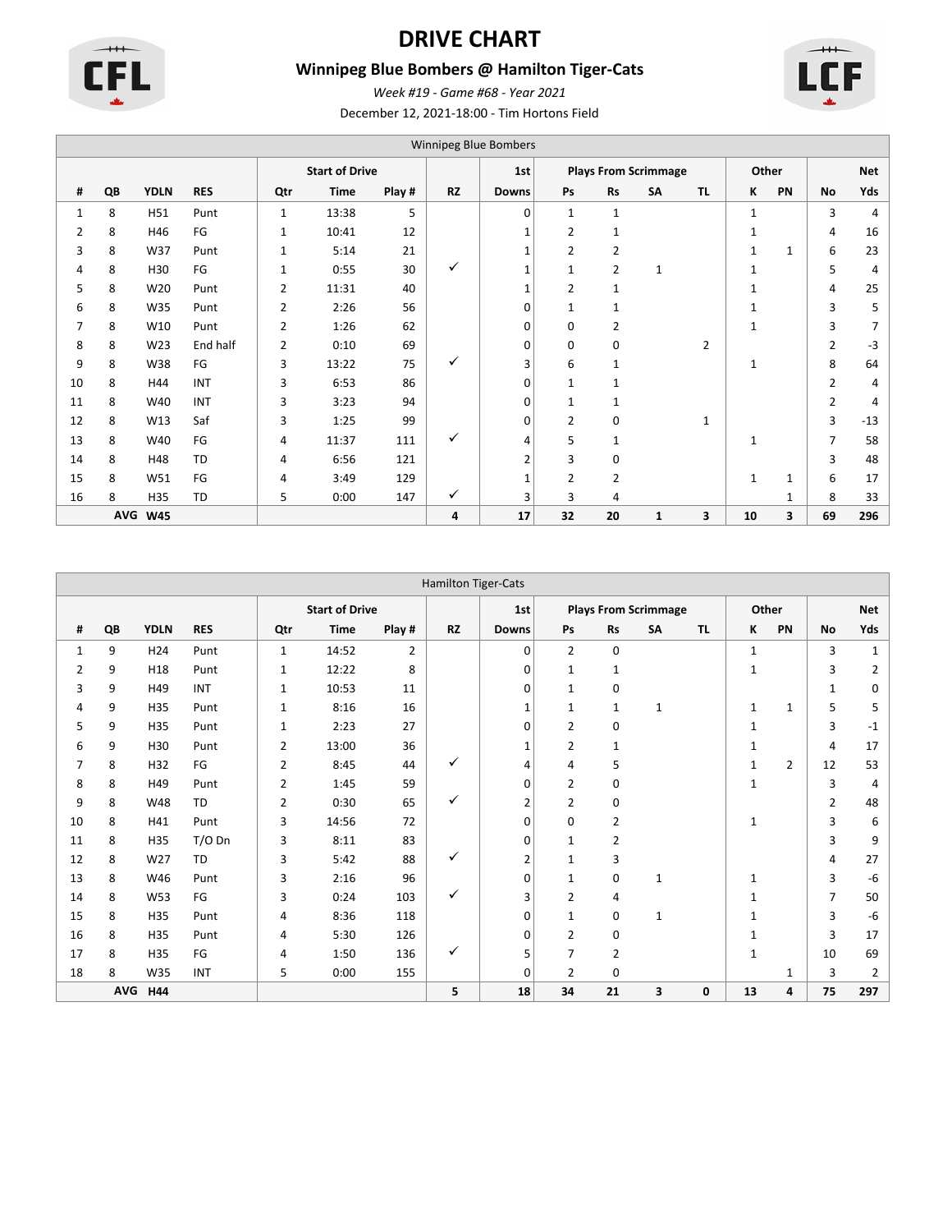

# **DRIVE CHART**

# **Winnipeg Blue Bombers @ Hamilton Tiger-Cats**





December 12, 2021-18:00 - Tim Hortons Field *Week #19 - Game #68 - Year 2021*

|                | Winnipeg Blue Bombers |             |            |              |                       |        |           |                |              |                |                             |                |              |    |                |                |  |
|----------------|-----------------------|-------------|------------|--------------|-----------------------|--------|-----------|----------------|--------------|----------------|-----------------------------|----------------|--------------|----|----------------|----------------|--|
|                |                       |             |            |              | <b>Start of Drive</b> |        |           | 1st            |              |                | <b>Plays From Scrimmage</b> |                | Other        |    | <b>Net</b>     |                |  |
| #              | QB                    | <b>YDLN</b> | <b>RES</b> | Qtr          | Time                  | Play # | <b>RZ</b> | <b>Downs</b>   | Ps           | <b>Rs</b>      | SA                          | <b>TL</b>      | K            | PN | No             | Yds            |  |
| 1              | 8                     | H51         | Punt       | $\mathbf{1}$ | 13:38                 | 5      |           | 0              | 1            | $\mathbf{1}$   |                             |                | $\mathbf{1}$ |    | 3              | 4              |  |
| $\overline{2}$ | 8                     | H46         | FG         | $\mathbf{1}$ | 10:41                 | 12     |           |                | 2            | $\mathbf{1}$   |                             |                | 1            |    | 4              | 16             |  |
| 3              | 8                     | W37         | Punt       | $\mathbf{1}$ | 5:14                  | 21     |           | $\mathbf{1}$   | 2            | 2              |                             |                | 1            | 1  | 6              | 23             |  |
| 4              | 8                     | H30         | FG         | $\mathbf{1}$ | 0:55                  | 30     | ✓         | $\mathbf{1}$   | $\mathbf{1}$ | $\overline{2}$ | 1                           |                | 1            |    | 5              | $\overline{4}$ |  |
| 5              | 8                     | W20         | Punt       | 2            | 11:31                 | 40     |           | $\mathbf{1}$   | 2            | $\mathbf{1}$   |                             |                | 1            |    | 4              | 25             |  |
| 6              | 8                     | W35         | Punt       | 2            | 2:26                  | 56     |           | 0              | $\mathbf{1}$ | $\mathbf{1}$   |                             |                | $\mathbf{1}$ |    | 3              | 5              |  |
| 7              | 8                     | W10         | Punt       | 2            | 1:26                  | 62     |           | 0              | 0            | 2              |                             |                | $\mathbf{1}$ |    | 3              | 7              |  |
| 8              | 8                     | W23         | End half   | 2            | 0:10                  | 69     |           | 0              | 0            | 0              |                             | $\overline{2}$ |              |    | 2              | $-3$           |  |
| 9              | 8                     | W38         | FG         | 3            | 13:22                 | 75     | ✓         | 3              | 6            | $\mathbf{1}$   |                             |                | 1            |    | 8              | 64             |  |
| 10             | 8                     | H44         | INT        | 3            | 6:53                  | 86     |           | 0              | 1            | $\mathbf{1}$   |                             |                |              |    | 2              | 4              |  |
| 11             | 8                     | W40         | INT        | 3            | 3:23                  | 94     |           | 0              | 1            | 1              |                             |                |              |    | $\overline{2}$ | 4              |  |
| 12             | 8                     | W13         | Saf        | 3            | 1:25                  | 99     |           | 0              | 2            | 0              |                             | $\mathbf{1}$   |              |    | 3              | $-13$          |  |
| 13             | 8                     | W40         | FG         | 4            | 11:37                 | 111    | ✓         | 4              | 5            | $\mathbf{1}$   |                             |                | $\mathbf{1}$ |    | 7              | 58             |  |
| 14             | 8                     | H48         | <b>TD</b>  | 4            | 6:56                  | 121    |           | $\overline{2}$ | 3            | 0              |                             |                |              |    | 3              | 48             |  |
| 15             | 8                     | W51         | FG         | 4            | 3:49                  | 129    |           | $\mathbf{1}$   | 2            | $\overline{2}$ |                             |                | $\mathbf{1}$ | 1  | 6              | 17             |  |
| 16             | 8                     | H35         | TD         | 5            | 0:00                  | 147    | ✓         | 3              | 3            | 4              |                             |                |              | 1  | 8              | 33             |  |
|                | AVG                   | <b>W45</b>  |            |              |                       |        | 4         | 17             | 32           | 20             | 1                           | 3              | 10           | 3  | 69             | 296            |  |

|                | <b>Hamilton Tiger-Cats</b> |                 |            |              |                       |                |              |                |                             |                |    |           |              |                |                |                |
|----------------|----------------------------|-----------------|------------|--------------|-----------------------|----------------|--------------|----------------|-----------------------------|----------------|----|-----------|--------------|----------------|----------------|----------------|
|                |                            |                 |            |              | <b>Start of Drive</b> |                |              | 1st            | <b>Plays From Scrimmage</b> |                |    |           |              | Other          |                | <b>Net</b>     |
| #              | QB                         | <b>YDLN</b>     | <b>RES</b> | Qtr          | <b>Time</b>           | Play #         | <b>RZ</b>    | <b>Downs</b>   | Ps                          | <b>Rs</b>      | SA | <b>TL</b> | ĸ            | PN             | <b>No</b>      | Yds            |
| 1              | 9                          | H <sub>24</sub> | Punt       | $\mathbf{1}$ | 14:52                 | $\overline{2}$ |              | 0              | 2                           | 0              |    |           | $\mathbf{1}$ |                | 3              | 1              |
| $\overline{2}$ | 9                          | H18             | Punt       | $\mathbf{1}$ | 12:22                 | 8              |              | 0              | 1                           | $\mathbf{1}$   |    |           | $\mathbf{1}$ |                | 3              | 2              |
| 3              | 9                          | H49             | <b>INT</b> | 1            | 10:53                 | 11             |              | 0              | 1                           | 0              |    |           |              |                | 1              | 0              |
| 4              | 9                          | H35             | Punt       | 1            | 8:16                  | 16             |              | $\mathbf{1}$   | 1                           | 1              | 1  |           | $\mathbf{1}$ | $\mathbf{1}$   | 5              | 5              |
| 5              | 9                          | H35             | Punt       | $\mathbf{1}$ | 2:23                  | 27             |              | 0              | 2                           | 0              |    |           | $\mathbf{1}$ |                | 3              | $-1$           |
| 6              | 9                          | H30             | Punt       | 2            | 13:00                 | 36             |              | $\mathbf{1}$   | 2                           | 1              |    |           | 1            |                | 4              | 17             |
| 7              | 8                          | H32             | FG         | 2            | 8:45                  | 44             | ✓            | 4              | 4                           | 5              |    |           | 1            | $\overline{2}$ | 12             | 53             |
| 8              | 8                          | H49             | Punt       | 2            | 1:45                  | 59             |              | 0              | $\overline{2}$              | 0              |    |           | $\mathbf{1}$ |                | 3              | 4              |
| 9              | 8                          | W48             | <b>TD</b>  | 2            | 0:30                  | 65             | ✓            | $\overline{2}$ | 2                           | 0              |    |           |              |                | $\overline{2}$ | 48             |
| 10             | 8                          | H41             | Punt       | 3            | 14:56                 | 72             |              | 0              | 0                           | 2              |    |           | 1            |                | 3              | 6              |
| 11             | 8                          | H35             | $T/O$ Dn   | 3            | 8:11                  | 83             |              | 0              | 1                           | $\overline{2}$ |    |           |              |                | 3              | 9              |
| 12             | 8                          | W27             | <b>TD</b>  | 3            | 5:42                  | 88             | $\checkmark$ | $\overline{2}$ | 1                           | 3              |    |           |              |                | 4              | 27             |
| 13             | 8                          | W46             | Punt       | 3            | 2:16                  | 96             |              | 0              | 1                           | 0              | 1  |           | 1            |                | 3              | -6             |
| 14             | 8                          | W53             | FG         | 3            | 0:24                  | 103            | ✓            | 3              | 2                           | 4              |    |           | 1            |                | $\overline{7}$ | 50             |
| 15             | 8                          | H35             | Punt       | 4            | 8:36                  | 118            |              | 0              | 1                           | 0              | 1  |           | $\mathbf{1}$ |                | 3              | -6             |
| 16             | 8                          | H <sub>35</sub> | Punt       | 4            | 5:30                  | 126            |              | 0              | 2                           | 0              |    |           | 1            |                | 3              | 17             |
| 17             | 8                          | H35             | FG         | 4            | 1:50                  | 136            | $\checkmark$ | 5              | $\overline{7}$              | $\overline{2}$ |    |           | $\mathbf{1}$ |                | 10             | 69             |
| 18             | 8                          | W35             | <b>INT</b> | 5            | 0:00                  | 155            |              | 0              | $\overline{2}$              | 0              |    |           |              | 1              | 3              | $\overline{2}$ |
|                | AVG                        | H44             |            |              |                       |                | 5            | 18             | 34                          | 21             | 3  | 0         | 13           | 4              | 75             | 297            |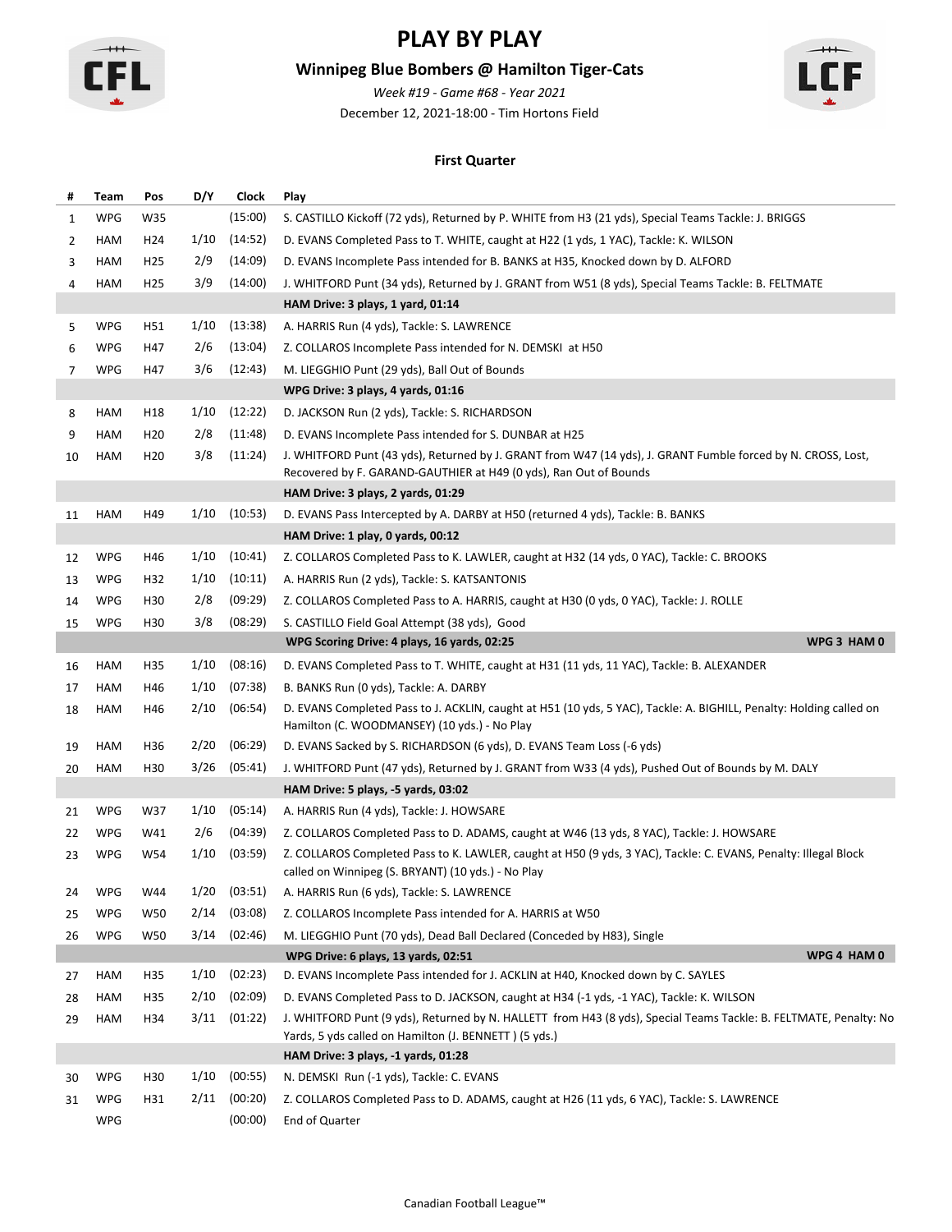

## **Winnipeg Blue Bombers @ Hamilton Tiger-Cats**

December 12, 2021-18:00 - Tim Hortons Field *Week #19 - Game #68 - Year 2021*



### **First Quarter**

| #  | Team       | Pos             | D/Y  | Clock   | Play                                                                                                                                                                  |
|----|------------|-----------------|------|---------|-----------------------------------------------------------------------------------------------------------------------------------------------------------------------|
| 1  | WPG        | W35             |      | (15:00) | S. CASTILLO Kickoff (72 yds), Returned by P. WHITE from H3 (21 yds), Special Teams Tackle: J. BRIGGS                                                                  |
| 2  | HAM        | H <sub>24</sub> | 1/10 | (14:52) | D. EVANS Completed Pass to T. WHITE, caught at H22 (1 yds, 1 YAC), Tackle: K. WILSON                                                                                  |
| 3  | HAM        | H <sub>25</sub> | 2/9  | (14:09) | D. EVANS Incomplete Pass intended for B. BANKS at H35, Knocked down by D. ALFORD                                                                                      |
| 4  | HAM        | H <sub>25</sub> | 3/9  | (14:00) | J. WHITFORD Punt (34 yds), Returned by J. GRANT from W51 (8 yds), Special Teams Tackle: B. FELTMATE                                                                   |
|    |            |                 |      |         | HAM Drive: 3 plays, 1 yard, 01:14                                                                                                                                     |
| 5  | <b>WPG</b> | H51             | 1/10 | (13:38) | A. HARRIS Run (4 yds), Tackle: S. LAWRENCE                                                                                                                            |
| 6  | <b>WPG</b> | H47             | 2/6  | (13:04) | Z. COLLAROS Incomplete Pass intended for N. DEMSKI at H50                                                                                                             |
| 7  | <b>WPG</b> | H47             | 3/6  | (12:43) | M. LIEGGHIO Punt (29 yds), Ball Out of Bounds                                                                                                                         |
|    |            |                 |      |         | WPG Drive: 3 plays, 4 yards, 01:16                                                                                                                                    |
| 8  | HAM        | H <sub>18</sub> | 1/10 | (12:22) | D. JACKSON Run (2 yds), Tackle: S. RICHARDSON                                                                                                                         |
| 9  | HAM        | H <sub>20</sub> | 2/8  | (11:48) | D. EVANS Incomplete Pass intended for S. DUNBAR at H25                                                                                                                |
| 10 | HAM        | H <sub>20</sub> | 3/8  | (11:24) | J. WHITFORD Punt (43 yds), Returned by J. GRANT from W47 (14 yds), J. GRANT Fumble forced by N. CROSS, Lost,                                                          |
|    |            |                 |      |         | Recovered by F. GARAND-GAUTHIER at H49 (0 yds), Ran Out of Bounds                                                                                                     |
|    |            |                 |      |         | HAM Drive: 3 plays, 2 yards, 01:29                                                                                                                                    |
| 11 | HAM        | H49             | 1/10 | (10:53) | D. EVANS Pass Intercepted by A. DARBY at H50 (returned 4 yds), Tackle: B. BANKS                                                                                       |
|    |            |                 |      |         | HAM Drive: 1 play, 0 yards, 00:12                                                                                                                                     |
| 12 | <b>WPG</b> | H46             | 1/10 | (10:41) | Z. COLLAROS Completed Pass to K. LAWLER, caught at H32 (14 yds, 0 YAC), Tackle: C. BROOKS                                                                             |
| 13 | <b>WPG</b> | H32             | 1/10 | (10:11) | A. HARRIS Run (2 yds), Tackle: S. KATSANTONIS                                                                                                                         |
| 14 | <b>WPG</b> | H30             | 2/8  | (09:29) | Z. COLLAROS Completed Pass to A. HARRIS, caught at H30 (0 yds, 0 YAC), Tackle: J. ROLLE                                                                               |
| 15 | <b>WPG</b> | H <sub>30</sub> | 3/8  | (08:29) | S. CASTILLO Field Goal Attempt (38 yds), Good                                                                                                                         |
|    |            |                 |      |         | WPG 3 HAM 0<br>WPG Scoring Drive: 4 plays, 16 yards, 02:25                                                                                                            |
| 16 | HAM        | H35             | 1/10 | (08:16) | D. EVANS Completed Pass to T. WHITE, caught at H31 (11 yds, 11 YAC), Tackle: B. ALEXANDER                                                                             |
| 17 | HAM        | H46             | 1/10 | (07:38) | B. BANKS Run (0 yds), Tackle: A. DARBY                                                                                                                                |
| 18 | HAM        | H46             | 2/10 | (06:54) | D. EVANS Completed Pass to J. ACKLIN, caught at H51 (10 yds, 5 YAC), Tackle: A. BIGHILL, Penalty: Holding called on<br>Hamilton (C. WOODMANSEY) (10 yds.) - No Play   |
| 19 | HAM        | H36             | 2/20 | (06:29) | D. EVANS Sacked by S. RICHARDSON (6 yds), D. EVANS Team Loss (-6 yds)                                                                                                 |
| 20 | HAM        | H30             | 3/26 | (05:41) | J. WHITFORD Punt (47 yds), Returned by J. GRANT from W33 (4 yds), Pushed Out of Bounds by M. DALY                                                                     |
|    |            |                 |      |         | HAM Drive: 5 plays, -5 yards, 03:02                                                                                                                                   |
| 21 | <b>WPG</b> | W37             | 1/10 | (05:14) | A. HARRIS Run (4 yds), Tackle: J. HOWSARE                                                                                                                             |
| 22 | <b>WPG</b> | W41             | 2/6  | (04:39) | Z. COLLAROS Completed Pass to D. ADAMS, caught at W46 (13 yds, 8 YAC), Tackle: J. HOWSARE                                                                             |
| 23 | <b>WPG</b> | W54             | 1/10 | (03:59) | Z. COLLAROS Completed Pass to K. LAWLER, caught at H50 (9 yds, 3 YAC), Tackle: C. EVANS, Penalty: Illegal Block<br>called on Winnipeg (S. BRYANT) (10 yds.) - No Play |
| 24 | WPG        | W44             | 1/20 | (03:51) | A. HARRIS Run (6 yds), Tackle: S. LAWRENCE                                                                                                                            |
| 25 | WPG        | W50             | 2/14 | (03:08) | Z. COLLAROS Incomplete Pass intended for A. HARRIS at W50                                                                                                             |
| 26 | <b>WPG</b> | <b>W50</b>      | 3/14 | (02:46) | M. LIEGGHIO Punt (70 yds), Dead Ball Declared (Conceded by H83), Single                                                                                               |
|    |            |                 |      |         | WPG 4 HAM 0<br>WPG Drive: 6 plays, 13 yards, 02:51                                                                                                                    |
| 27 | HAM        | H35             | 1/10 | (02:23) | D. EVANS Incomplete Pass intended for J. ACKLIN at H40, Knocked down by C. SAYLES                                                                                     |
| 28 | HAM        | H35             | 2/10 | (02:09) | D. EVANS Completed Pass to D. JACKSON, caught at H34 (-1 yds, -1 YAC), Tackle: K. WILSON                                                                              |
| 29 | HAM        | H34             | 3/11 | (01:22) | J. WHITFORD Punt (9 yds), Returned by N. HALLETT from H43 (8 yds), Special Teams Tackle: B. FELTMATE, Penalty: No                                                     |
|    |            |                 |      |         | Yards, 5 yds called on Hamilton (J. BENNETT) (5 yds.)                                                                                                                 |
|    |            |                 |      |         | HAM Drive: 3 plays, -1 yards, 01:28                                                                                                                                   |
| 30 | <b>WPG</b> | H30             | 1/10 | (00:55) | N. DEMSKI Run (-1 yds), Tackle: C. EVANS                                                                                                                              |
| 31 | <b>WPG</b> | H31             | 2/11 | (00:20) | Z. COLLAROS Completed Pass to D. ADAMS, caught at H26 (11 yds, 6 YAC), Tackle: S. LAWRENCE                                                                            |
|    | <b>WPG</b> |                 |      | (00:00) | End of Quarter                                                                                                                                                        |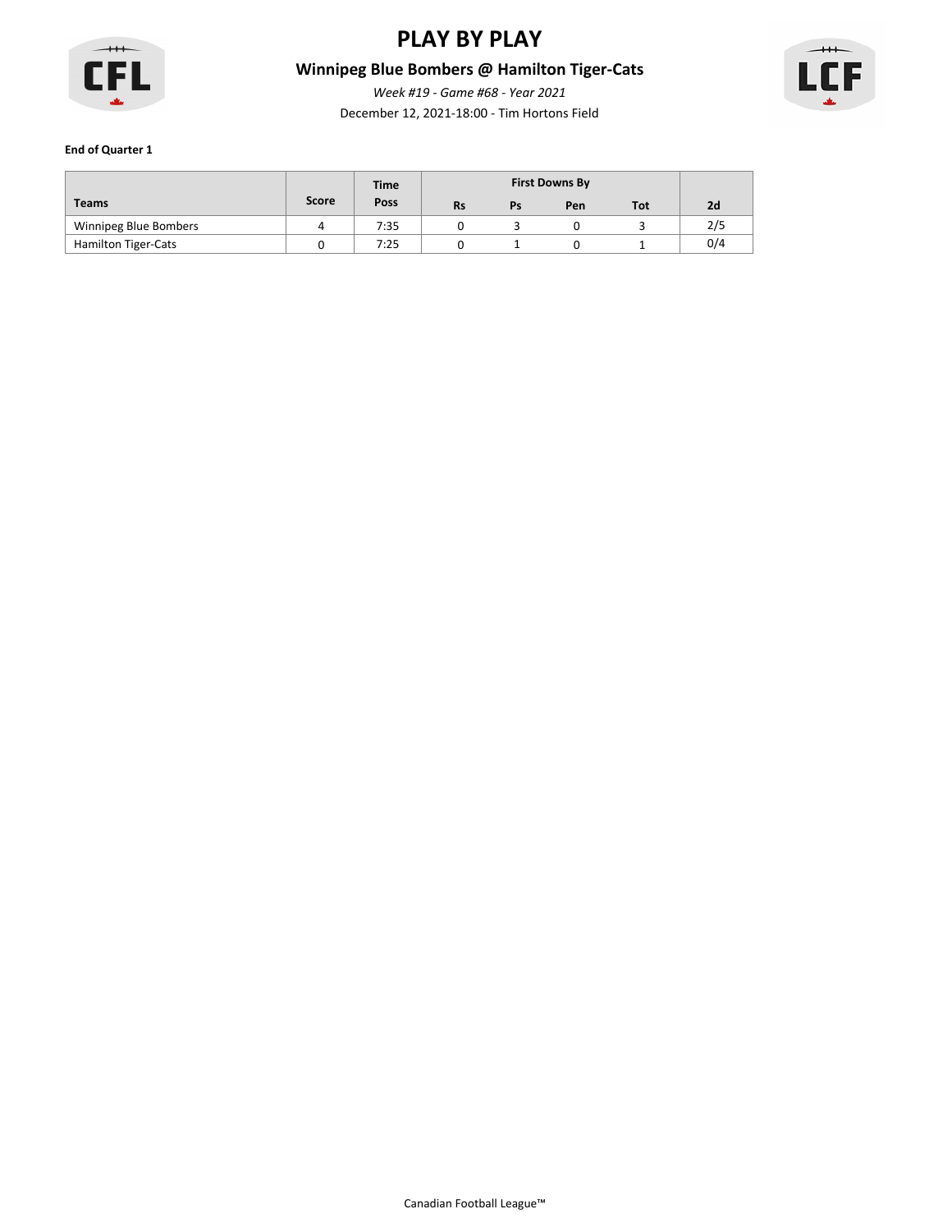

# **Winnipeg Blue Bombers @ Hamilton Tiger-Cats**

December 12, 2021-18:00 - Tim Hortons Field *Week #19 - Game #68 - Year 2021*



|                            |              | <b>Time</b> |           |    |     |            |     |
|----------------------------|--------------|-------------|-----------|----|-----|------------|-----|
| <b>Teams</b>               | <b>Score</b> | Poss        | <b>Rs</b> | Ps | Pen | <b>Tot</b> | 2d  |
| Winnipeg Blue Bombers      | 4            | 7:35        |           |    |     |            | 2/5 |
| <b>Hamilton Tiger-Cats</b> |              | 7:25        |           |    |     |            | 0/4 |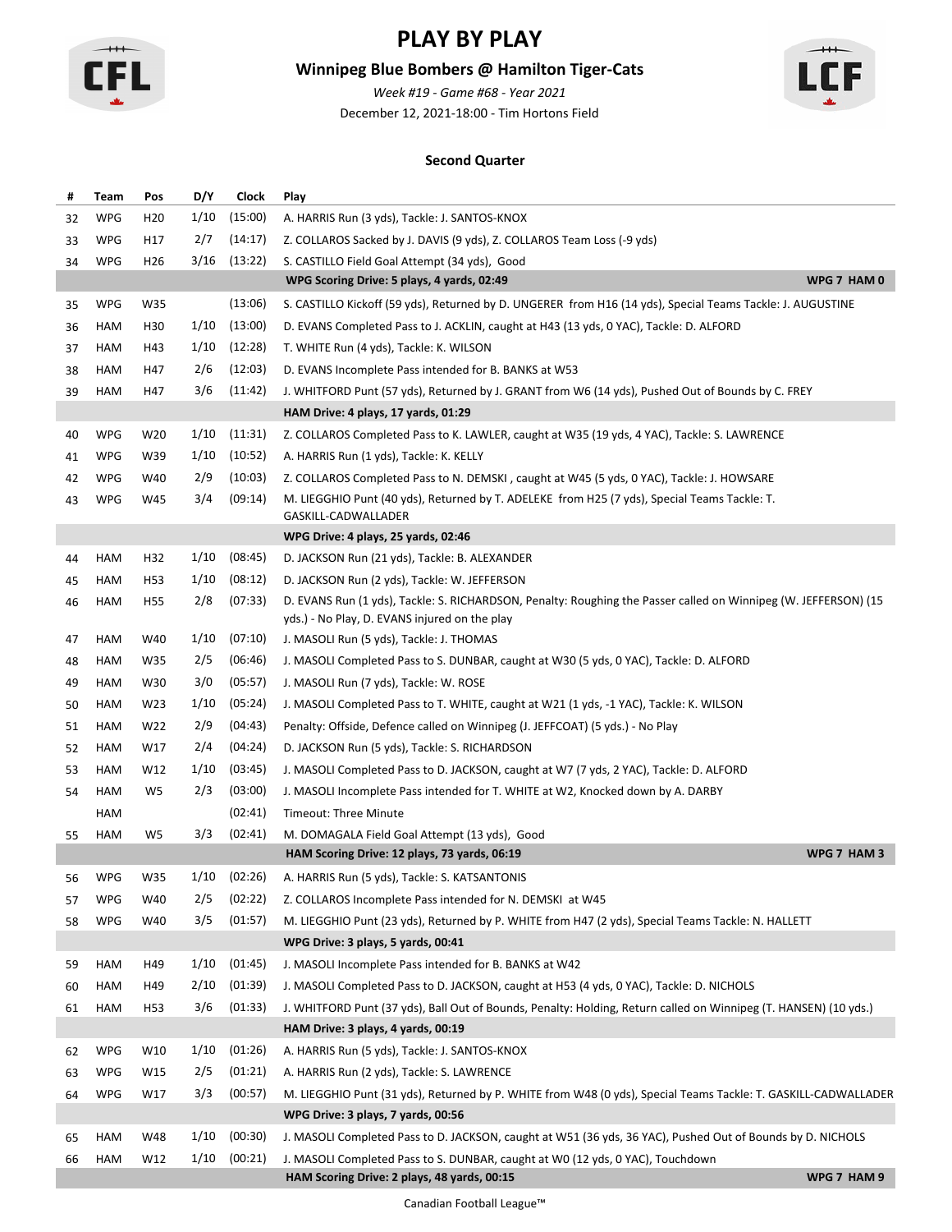

## **Winnipeg Blue Bombers @ Hamilton Tiger-Cats**

December 12, 2021-18:00 - Tim Hortons Field *Week #19 - Game #68 - Year 2021*



### **Second Quarter**

| #  | Team       | Pos             | D/Y  | Clock   | Play                                                                                                                                                             |
|----|------------|-----------------|------|---------|------------------------------------------------------------------------------------------------------------------------------------------------------------------|
| 32 | WPG        | H <sub>20</sub> | 1/10 | (15:00) | A. HARRIS Run (3 yds), Tackle: J. SANTOS-KNOX                                                                                                                    |
| 33 | <b>WPG</b> | H17             | 2/7  | (14:17) | Z. COLLAROS Sacked by J. DAVIS (9 yds), Z. COLLAROS Team Loss (-9 yds)                                                                                           |
| 34 | <b>WPG</b> | H <sub>26</sub> | 3/16 | (13:22) | S. CASTILLO Field Goal Attempt (34 yds), Good                                                                                                                    |
|    |            |                 |      |         | WPG 7 HAM 0<br>WPG Scoring Drive: 5 plays, 4 yards, 02:49                                                                                                        |
| 35 | <b>WPG</b> | W35             |      | (13:06) | S. CASTILLO Kickoff (59 yds), Returned by D. UNGERER from H16 (14 yds), Special Teams Tackle: J. AUGUSTINE                                                       |
| 36 | HAM        | H30             | 1/10 | (13:00) | D. EVANS Completed Pass to J. ACKLIN, caught at H43 (13 yds, 0 YAC), Tackle: D. ALFORD                                                                           |
| 37 | HAM        | H43             | 1/10 | (12:28) | T. WHITE Run (4 yds), Tackle: K. WILSON                                                                                                                          |
| 38 | HAM        | H47             | 2/6  | (12:03) | D. EVANS Incomplete Pass intended for B. BANKS at W53                                                                                                            |
| 39 | HAM        | H47             | 3/6  | (11:42) | J. WHITFORD Punt (57 yds), Returned by J. GRANT from W6 (14 yds), Pushed Out of Bounds by C. FREY                                                                |
|    |            |                 |      |         | HAM Drive: 4 plays, 17 yards, 01:29                                                                                                                              |
| 40 | <b>WPG</b> | W20             | 1/10 | (11:31) | Z. COLLAROS Completed Pass to K. LAWLER, caught at W35 (19 yds, 4 YAC), Tackle: S. LAWRENCE                                                                      |
| 41 | WPG        | W39             | 1/10 | (10:52) | A. HARRIS Run (1 yds), Tackle: K. KELLY                                                                                                                          |
| 42 | <b>WPG</b> | W40             | 2/9  | (10:03) | Z. COLLAROS Completed Pass to N. DEMSKI, caught at W45 (5 yds, 0 YAC), Tackle: J. HOWSARE                                                                        |
| 43 | WPG        | W45             | 3/4  | (09:14) | M. LIEGGHIO Punt (40 yds), Returned by T. ADELEKE from H25 (7 yds), Special Teams Tackle: T.<br>GASKILL-CADWALLADER                                              |
|    |            |                 |      |         | WPG Drive: 4 plays, 25 yards, 02:46                                                                                                                              |
| 44 | HAM        | H32             | 1/10 | (08:45) | D. JACKSON Run (21 yds), Tackle: B. ALEXANDER                                                                                                                    |
| 45 | HAM        | H <sub>53</sub> | 1/10 | (08:12) | D. JACKSON Run (2 yds), Tackle: W. JEFFERSON                                                                                                                     |
| 46 | HAM        | H <sub>55</sub> | 2/8  | (07:33) | D. EVANS Run (1 yds), Tackle: S. RICHARDSON, Penalty: Roughing the Passer called on Winnipeg (W. JEFFERSON) (15<br>yds.) - No Play, D. EVANS injured on the play |
| 47 | HAM        | W40             | 1/10 | (07:10) | J. MASOLI Run (5 yds), Tackle: J. THOMAS                                                                                                                         |
| 48 | HAM        | W35             | 2/5  | (06:46) | J. MASOLI Completed Pass to S. DUNBAR, caught at W30 (5 yds, 0 YAC), Tackle: D. ALFORD                                                                           |
| 49 | HAM        | W30             | 3/0  | (05:57) | J. MASOLI Run (7 yds), Tackle: W. ROSE                                                                                                                           |
| 50 | HAM        | W23             | 1/10 | (05:24) | J. MASOLI Completed Pass to T. WHITE, caught at W21 (1 yds, -1 YAC), Tackle: K. WILSON                                                                           |
| 51 | HAM        | W22             | 2/9  | (04:43) | Penalty: Offside, Defence called on Winnipeg (J. JEFFCOAT) (5 yds.) - No Play                                                                                    |
| 52 | HAM        | W17             | 2/4  | (04:24) | D. JACKSON Run (5 yds), Tackle: S. RICHARDSON                                                                                                                    |
| 53 | HAM        | W12             | 1/10 | (03:45) | J. MASOLI Completed Pass to D. JACKSON, caught at W7 (7 yds, 2 YAC), Tackle: D. ALFORD                                                                           |
| 54 | HAM        | W <sub>5</sub>  | 2/3  | (03:00) | J. MASOLI Incomplete Pass intended for T. WHITE at W2, Knocked down by A. DARBY                                                                                  |
|    | HAM        |                 |      | (02:41) | Timeout: Three Minute                                                                                                                                            |
| 55 | HAM        | W5              | 3/3  | (02:41) | M. DOMAGALA Field Goal Attempt (13 yds), Good                                                                                                                    |
|    |            |                 |      |         | WPG 7 HAM 3<br>HAM Scoring Drive: 12 plays, 73 yards, 06:19                                                                                                      |
| 56 | <b>WPG</b> | W35             | 1/10 | (02:26) | A. HARRIS Run (5 yds), Tackle: S. KATSANTONIS                                                                                                                    |
| 57 | <b>WPG</b> | W40             | 2/5  | (02:22) | Z. COLLAROS Incomplete Pass intended for N. DEMSKI at W45                                                                                                        |
| 58 | <b>WPG</b> | W40             | 3/5  | (01:57) | M. LIEGGHIO Punt (23 yds), Returned by P. WHITE from H47 (2 yds), Special Teams Tackle: N. HALLETT                                                               |
|    |            |                 |      |         | WPG Drive: 3 plays, 5 yards, 00:41                                                                                                                               |
| 59 | HAM        | H49             | 1/10 | (01:45) | J. MASOLI Incomplete Pass intended for B. BANKS at W42                                                                                                           |
| 60 | HAM        | H49             | 2/10 | (01:39) | J. MASOLI Completed Pass to D. JACKSON, caught at H53 (4 yds, 0 YAC), Tackle: D. NICHOLS                                                                         |
| 61 | HAM        | H <sub>53</sub> | 3/6  | (01:33) | J. WHITFORD Punt (37 yds), Ball Out of Bounds, Penalty: Holding, Return called on Winnipeg (T. HANSEN) (10 yds.)                                                 |
|    |            |                 |      |         | HAM Drive: 3 plays, 4 yards, 00:19                                                                                                                               |
| 62 | <b>WPG</b> | W10             | 1/10 | (01:26) | A. HARRIS Run (5 yds), Tackle: J. SANTOS-KNOX                                                                                                                    |
| 63 | WPG        | W15             | 2/5  | (01:21) | A. HARRIS Run (2 yds), Tackle: S. LAWRENCE                                                                                                                       |
| 64 | <b>WPG</b> | W17             | 3/3  | (00:57) | M. LIEGGHIO Punt (31 yds), Returned by P. WHITE from W48 (0 yds), Special Teams Tackle: T. GASKILL-CADWALLADER                                                   |
|    |            |                 |      |         | WPG Drive: 3 plays, 7 yards, 00:56                                                                                                                               |
| 65 | HAM        | W48             | 1/10 | (00:30) | J. MASOLI Completed Pass to D. JACKSON, caught at W51 (36 yds, 36 YAC), Pushed Out of Bounds by D. NICHOLS                                                       |
| 66 | HAM        | W12             | 1/10 | (00:21) | J. MASOLI Completed Pass to S. DUNBAR, caught at W0 (12 yds, 0 YAC), Touchdown                                                                                   |
|    |            |                 |      |         | WPG 7 HAM 9<br>HAM Scoring Drive: 2 plays, 48 yards, 00:15                                                                                                       |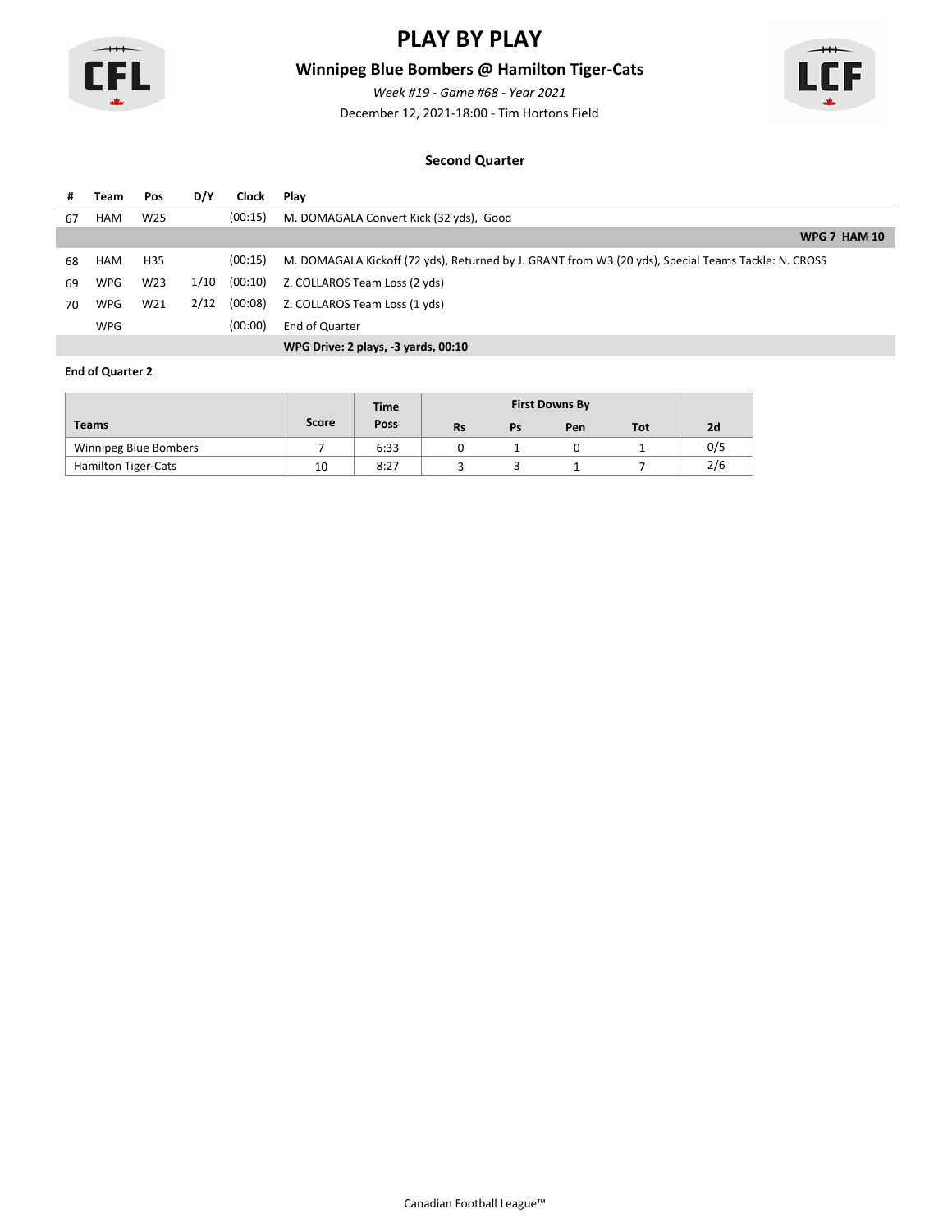

## **Winnipeg Blue Bombers @ Hamilton Tiger-Cats**

*Week #19 - Game #68 - Year 2021*

 $+$ F

December 12, 2021-18:00 - Tim Hortons Field

#### **Second Quarter**

| #  | Team       | Pos             | D/Y  | Clock   | Plav                                                                                                |
|----|------------|-----------------|------|---------|-----------------------------------------------------------------------------------------------------|
| 67 | HAM        | W <sub>25</sub> |      | (00:15) | M. DOMAGALA Convert Kick (32 yds), Good                                                             |
|    |            |                 |      |         | <b>WPG 7 HAM 10</b>                                                                                 |
| 68 | HAM        | H35             |      | (00:15) | M. DOMAGALA Kickoff (72 yds), Returned by J. GRANT from W3 (20 yds), Special Teams Tackle: N. CROSS |
| 69 | WPG        | W <sub>23</sub> | 1/10 | (00:10) | Z. COLLAROS Team Loss (2 yds)                                                                       |
| 70 | WPG        | W21             | 2/12 | (00:08) | Z. COLLAROS Team Loss (1 yds)                                                                       |
|    | <b>WPG</b> |                 |      | (00:00) | End of Quarter                                                                                      |
|    |            |                 |      |         | WPG Drive: 2 plays, -3 yards, 00:10                                                                 |

|                            |       | <b>Time</b> |           |    |     |            |     |
|----------------------------|-------|-------------|-----------|----|-----|------------|-----|
| <b>Teams</b>               | Score | Poss        | <b>Rs</b> | Ps | Pen | <b>Tot</b> | 2d  |
| Winnipeg Blue Bombers      |       | 6:33        |           |    |     |            | 0/5 |
| <b>Hamilton Tiger-Cats</b> | 10    | 8:27        |           |    |     |            | 2/6 |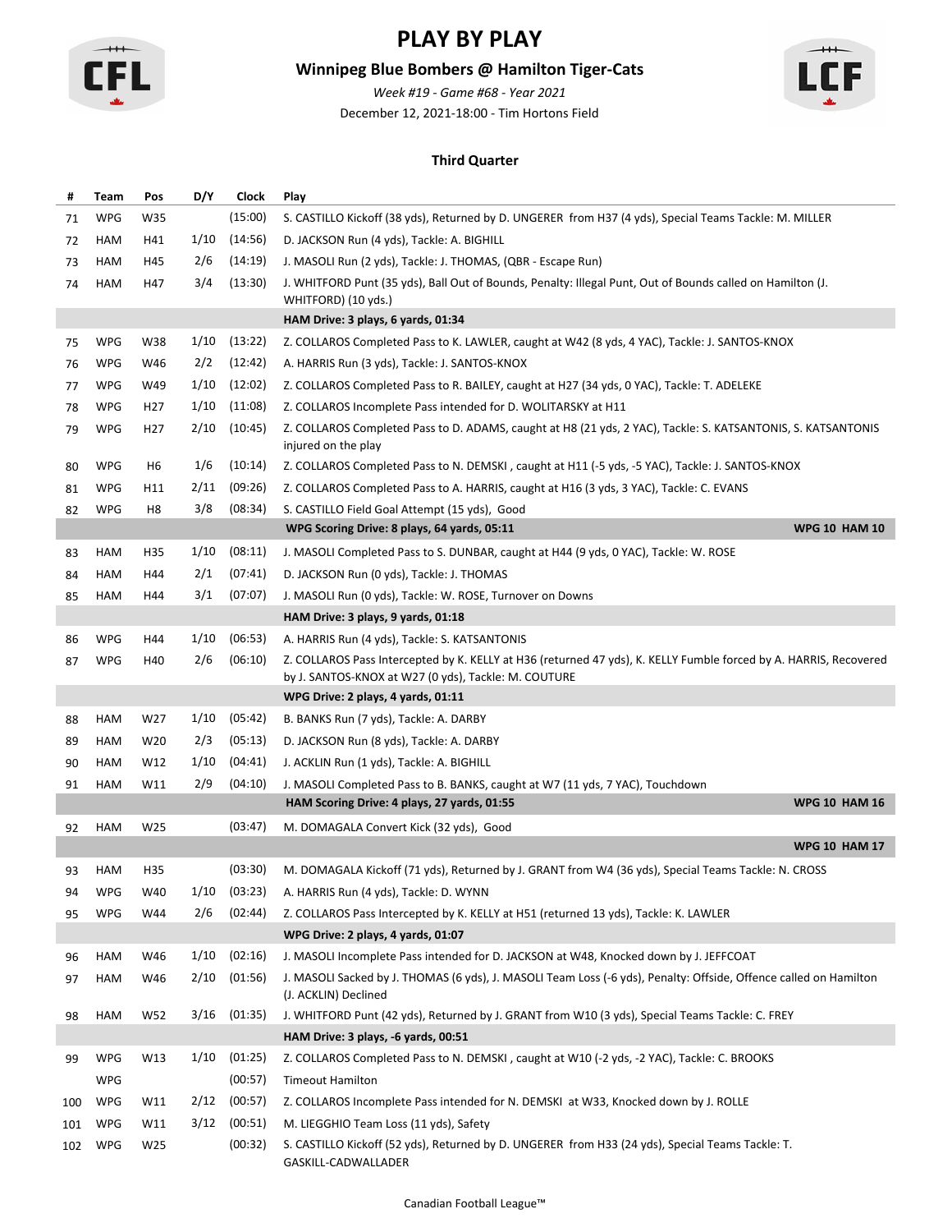

## **Winnipeg Blue Bombers @ Hamilton Tiger-Cats**

December 12, 2021-18:00 - Tim Hortons Field *Week #19 - Game #68 - Year 2021*



#### **Third Quarter**

| #   | Team       | Pos             | D/Y  | <b>Clock</b> | Play                                                                                                                                                                      |
|-----|------------|-----------------|------|--------------|---------------------------------------------------------------------------------------------------------------------------------------------------------------------------|
| 71  | <b>WPG</b> | W35             |      | (15:00)      | S. CASTILLO Kickoff (38 yds), Returned by D. UNGERER from H37 (4 yds), Special Teams Tackle: M. MILLER                                                                    |
| 72  | HAM        | H41             | 1/10 | (14:56)      | D. JACKSON Run (4 yds), Tackle: A. BIGHILL                                                                                                                                |
| 73  | HAM        | H45             | 2/6  | (14:19)      | J. MASOLI Run (2 yds), Tackle: J. THOMAS, (QBR - Escape Run)                                                                                                              |
| 74  | HAM        | H47             | 3/4  | (13:30)      | J. WHITFORD Punt (35 yds), Ball Out of Bounds, Penalty: Illegal Punt, Out of Bounds called on Hamilton (J.<br>WHITFORD) (10 yds.)                                         |
|     |            |                 |      |              | HAM Drive: 3 plays, 6 yards, 01:34                                                                                                                                        |
| 75  | <b>WPG</b> | W38             | 1/10 | (13:22)      | Z. COLLAROS Completed Pass to K. LAWLER, caught at W42 (8 yds, 4 YAC), Tackle: J. SANTOS-KNOX                                                                             |
| 76  | <b>WPG</b> | W46             | 2/2  | (12:42)      | A. HARRIS Run (3 yds), Tackle: J. SANTOS-KNOX                                                                                                                             |
| 77  | <b>WPG</b> | W49             | 1/10 | (12:02)      | Z. COLLAROS Completed Pass to R. BAILEY, caught at H27 (34 yds, 0 YAC), Tackle: T. ADELEKE                                                                                |
| 78  | <b>WPG</b> | H <sub>27</sub> | 1/10 | (11:08)      | Z. COLLAROS Incomplete Pass intended for D. WOLITARSKY at H11                                                                                                             |
| 79  | <b>WPG</b> | H <sub>27</sub> | 2/10 | (10:45)      | Z. COLLAROS Completed Pass to D. ADAMS, caught at H8 (21 yds, 2 YAC), Tackle: S. KATSANTONIS, S. KATSANTONIS<br>injured on the play                                       |
| 80  | <b>WPG</b> | H6              | 1/6  | (10:14)      | Z. COLLAROS Completed Pass to N. DEMSKI, caught at H11 (-5 yds, -5 YAC), Tackle: J. SANTOS-KNOX                                                                           |
| 81  | <b>WPG</b> | H11             | 2/11 | (09:26)      | Z. COLLAROS Completed Pass to A. HARRIS, caught at H16 (3 yds, 3 YAC), Tackle: C. EVANS                                                                                   |
| 82  | <b>WPG</b> | H8              | 3/8  | (08:34)      | S. CASTILLO Field Goal Attempt (15 yds), Good                                                                                                                             |
|     |            |                 |      |              | WPG Scoring Drive: 8 plays, 64 yards, 05:11<br><b>WPG 10 HAM 10</b>                                                                                                       |
| 83  | HAM        | H35             | 1/10 | (08:11)      | J. MASOLI Completed Pass to S. DUNBAR, caught at H44 (9 yds, 0 YAC), Tackle: W. ROSE                                                                                      |
| 84  | HAM        | H44             | 2/1  | (07:41)      | D. JACKSON Run (0 yds), Tackle: J. THOMAS                                                                                                                                 |
| 85  | HAM        | H44             | 3/1  | (07:07)      | J. MASOLI Run (0 yds), Tackle: W. ROSE, Turnover on Downs                                                                                                                 |
|     |            |                 |      |              | HAM Drive: 3 plays, 9 yards, 01:18                                                                                                                                        |
| 86  | <b>WPG</b> | H44             | 1/10 | (06:53)      | A. HARRIS Run (4 yds), Tackle: S. KATSANTONIS                                                                                                                             |
| 87  | <b>WPG</b> | H40             | 2/6  | (06:10)      | Z. COLLAROS Pass Intercepted by K. KELLY at H36 (returned 47 yds), K. KELLY Fumble forced by A. HARRIS, Recovered<br>by J. SANTOS-KNOX at W27 (0 yds), Tackle: M. COUTURE |
|     |            |                 |      |              | WPG Drive: 2 plays, 4 yards, 01:11                                                                                                                                        |
| 88  | HAM        | W27             | 1/10 | (05:42)      | B. BANKS Run (7 yds), Tackle: A. DARBY                                                                                                                                    |
| 89  | HAM        | W20             | 2/3  | (05:13)      | D. JACKSON Run (8 yds), Tackle: A. DARBY                                                                                                                                  |
| 90  | HAM        | W12             | 1/10 | (04:41)      | J. ACKLIN Run (1 yds), Tackle: A. BIGHILL                                                                                                                                 |
| 91  | HAM        | W11             | 2/9  | (04:10)      | J. MASOLI Completed Pass to B. BANKS, caught at W7 (11 yds, 7 YAC), Touchdown                                                                                             |
|     |            |                 |      |              | <b>WPG 10 HAM 16</b><br>HAM Scoring Drive: 4 plays, 27 yards, 01:55                                                                                                       |
| 92  | HAM        | W25             |      | (03:47)      | M. DOMAGALA Convert Kick (32 yds), Good                                                                                                                                   |
|     |            |                 |      |              | <b>WPG 10 HAM 17</b>                                                                                                                                                      |
| 93  | HAM        | H35             |      | (03:30)      | M. DOMAGALA Kickoff (71 yds), Returned by J. GRANT from W4 (36 yds), Special Teams Tackle: N. CROSS                                                                       |
| 94  | WPG        | W40             | 1/10 | (03:23)      | A. HARRIS Run (4 yds), Tackle: D. WYNN                                                                                                                                    |
| 95  | <b>WPG</b> | W44             | 2/6  | (02:44)      | Z. COLLAROS Pass Intercepted by K. KELLY at H51 (returned 13 yds), Tackle: K. LAWLER                                                                                      |
|     |            |                 |      |              | WPG Drive: 2 plays, 4 yards, 01:07                                                                                                                                        |
| 96  | HAM        | W46             | 1/10 | (02:16)      | J. MASOLI Incomplete Pass intended for D. JACKSON at W48, Knocked down by J. JEFFCOAT                                                                                     |
| 97  | HAM        | W46             | 2/10 | (01:56)      | J. MASOLI Sacked by J. THOMAS (6 yds), J. MASOLI Team Loss (-6 yds), Penalty: Offside, Offence called on Hamilton<br>(J. ACKLIN) Declined                                 |
| 98  | HAM        | W52             | 3/16 | (01:35)      | J. WHITFORD Punt (42 yds), Returned by J. GRANT from W10 (3 yds), Special Teams Tackle: C. FREY                                                                           |
|     |            |                 |      |              | HAM Drive: 3 plays, -6 yards, 00:51                                                                                                                                       |
| 99  | <b>WPG</b> | W13             | 1/10 | (01:25)      | Z. COLLAROS Completed Pass to N. DEMSKI, caught at W10 (-2 yds, -2 YAC), Tackle: C. BROOKS                                                                                |
|     | <b>WPG</b> |                 |      | (00:57)      | <b>Timeout Hamilton</b>                                                                                                                                                   |
| 100 | WPG        | W11             | 2/12 | (00:57)      | Z. COLLAROS Incomplete Pass intended for N. DEMSKI at W33, Knocked down by J. ROLLE                                                                                       |
| 101 | <b>WPG</b> | W11             | 3/12 | (00:51)      | M. LIEGGHIO Team Loss (11 yds), Safety                                                                                                                                    |
| 102 | WPG        | W25             |      | (00:32)      | S. CASTILLO Kickoff (52 yds), Returned by D. UNGERER from H33 (24 yds), Special Teams Tackle: T.<br>GASKILL-CADWALLADER                                                   |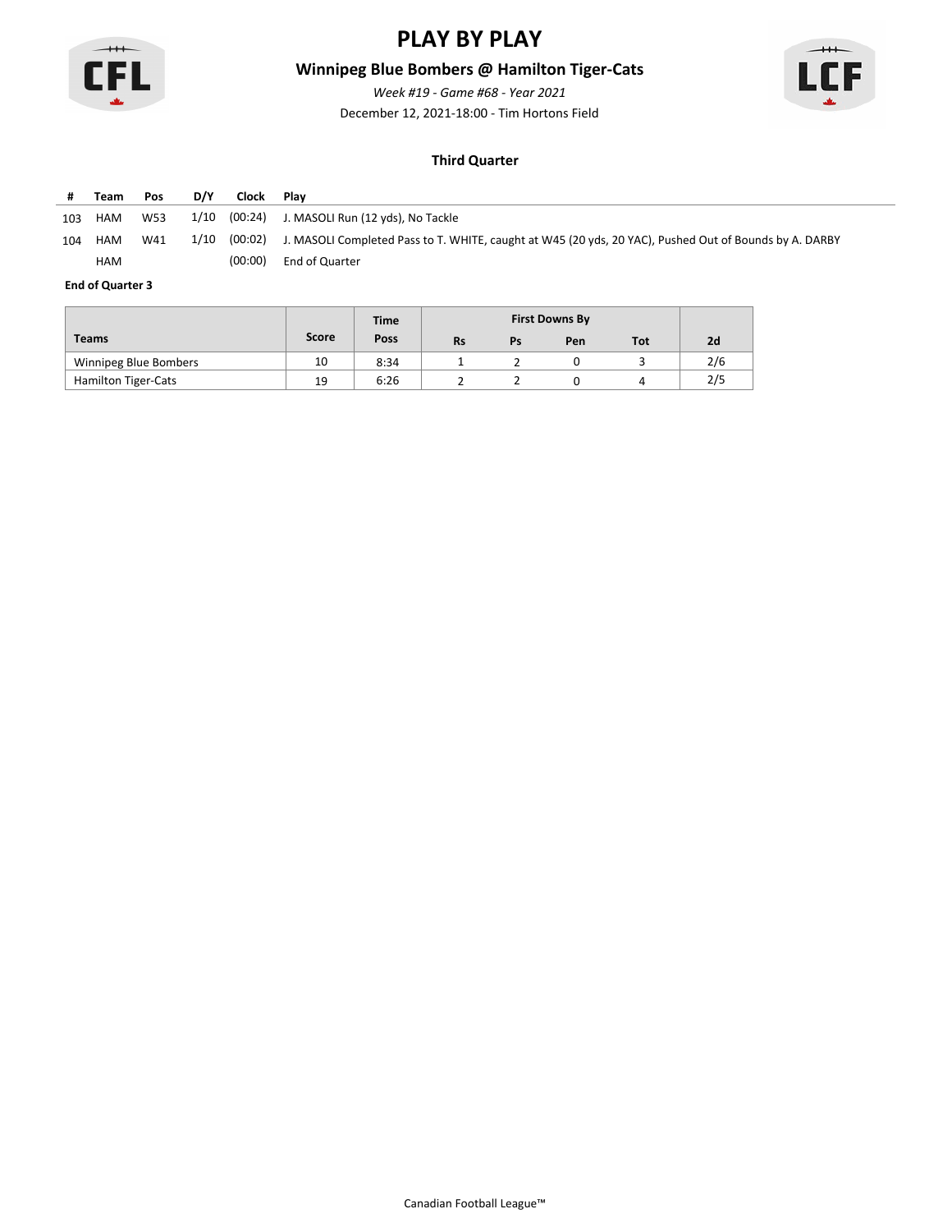

## **Winnipeg Blue Bombers @ Hamilton Tiger-Cats**

*Week #19 - Game #68 - Year 2021*



December 12, 2021-18:00 - Tim Hortons Field

### **Third Quarter**

|     | Team | <b>Pos</b> | D/Y  | Clock   | Plav                                                                                                           |
|-----|------|------------|------|---------|----------------------------------------------------------------------------------------------------------------|
| 103 | HAM  | W53        | 1/10 |         | (00:24) J. MASOLI Run (12 yds), No Tackle                                                                      |
| 104 | HAM  | W41        | 1/10 |         | (00:02) J. MASOLI Completed Pass to T. WHITE, caught at W45 (20 yds, 20 YAC), Pushed Out of Bounds by A. DARBY |
|     | HAM  |            |      | (00:00) | End of Quarter                                                                                                 |

|                            |              | <b>Time</b> |           |    |     |     |     |
|----------------------------|--------------|-------------|-----------|----|-----|-----|-----|
| <b>Teams</b>               | <b>Score</b> | Poss        | <b>Rs</b> | Ps | Pen | Tot | 2d  |
| Winnipeg Blue Bombers      | 10           | 8:34        |           |    |     |     | 2/6 |
| <b>Hamilton Tiger-Cats</b> | 19           | 6:26        |           |    |     |     | 2/5 |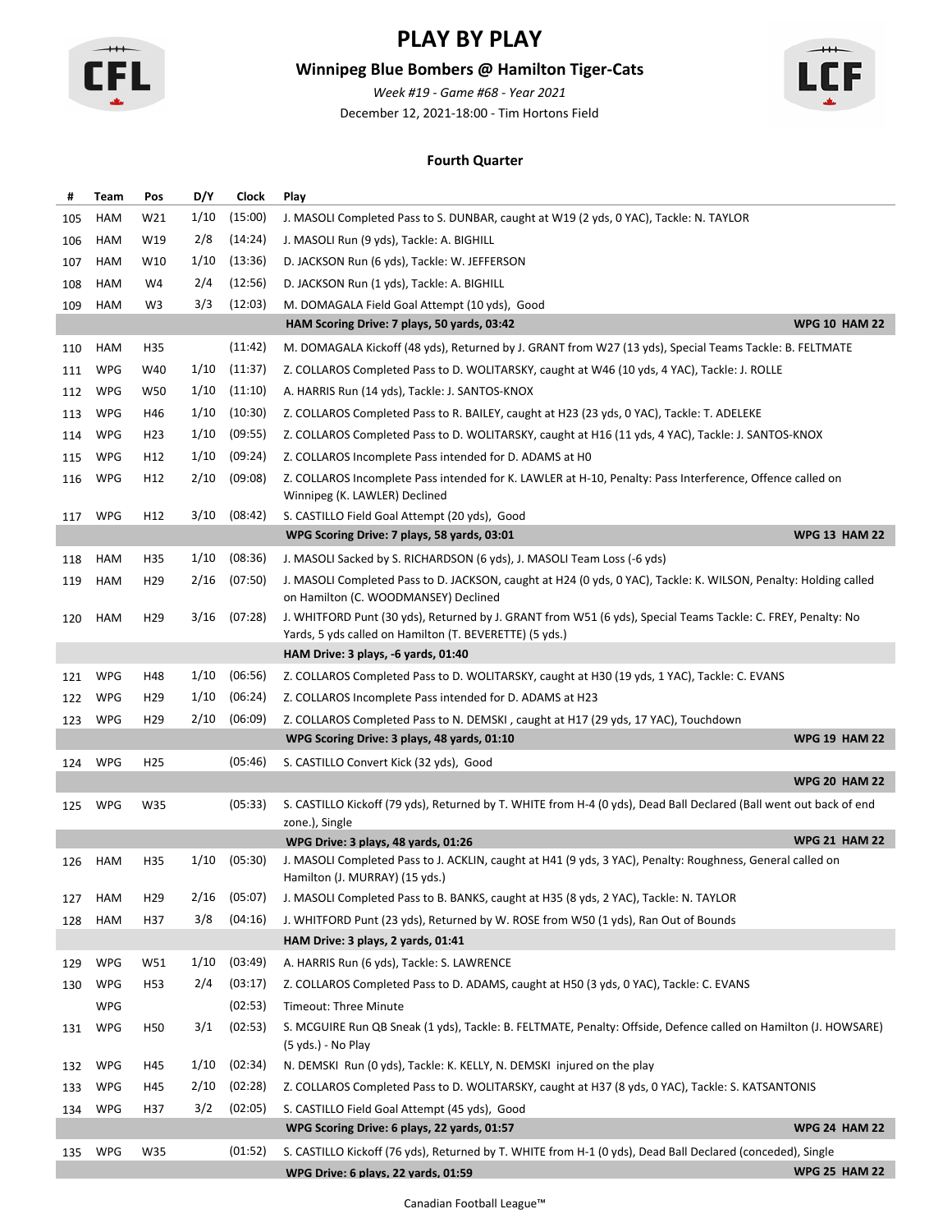

## **Winnipeg Blue Bombers @ Hamilton Tiger-Cats**

December 12, 2021-18:00 - Tim Hortons Field *Week #19 - Game #68 - Year 2021*



#### **Fourth Quarter**

| #   | Team       | Pos             | D/Y  | Clock   | Play                                                                                                                                                     |                      |
|-----|------------|-----------------|------|---------|----------------------------------------------------------------------------------------------------------------------------------------------------------|----------------------|
| 105 | HAM        | W21             | 1/10 | (15:00) | J. MASOLI Completed Pass to S. DUNBAR, caught at W19 (2 yds, 0 YAC), Tackle: N. TAYLOR                                                                   |                      |
| 106 | HAM        | W19             | 2/8  | (14:24) | J. MASOLI Run (9 yds), Tackle: A. BIGHILL                                                                                                                |                      |
| 107 | HAM        | W10             | 1/10 | (13:36) | D. JACKSON Run (6 yds), Tackle: W. JEFFERSON                                                                                                             |                      |
| 108 | HAM        | W4              | 2/4  | (12:56) | D. JACKSON Run (1 yds), Tackle: A. BIGHILL                                                                                                               |                      |
| 109 | HAM        | W3              | 3/3  | (12:03) | M. DOMAGALA Field Goal Attempt (10 yds), Good                                                                                                            |                      |
|     |            |                 |      |         | HAM Scoring Drive: 7 plays, 50 yards, 03:42                                                                                                              | <b>WPG 10 HAM 22</b> |
| 110 | HAM        | H35             |      | (11:42) | M. DOMAGALA Kickoff (48 yds), Returned by J. GRANT from W27 (13 yds), Special Teams Tackle: B. FELTMATE                                                  |                      |
| 111 | <b>WPG</b> | W40             | 1/10 | (11:37) | Z. COLLAROS Completed Pass to D. WOLITARSKY, caught at W46 (10 yds, 4 YAC), Tackle: J. ROLLE                                                             |                      |
| 112 | <b>WPG</b> | W50             | 1/10 | (11:10) | A. HARRIS Run (14 yds), Tackle: J. SANTOS-KNOX                                                                                                           |                      |
| 113 | <b>WPG</b> | H46             | 1/10 | (10:30) | Z. COLLAROS Completed Pass to R. BAILEY, caught at H23 (23 yds, 0 YAC), Tackle: T. ADELEKE                                                               |                      |
| 114 | <b>WPG</b> | H <sub>23</sub> | 1/10 | (09:55) | Z. COLLAROS Completed Pass to D. WOLITARSKY, caught at H16 (11 yds, 4 YAC), Tackle: J. SANTOS-KNOX                                                       |                      |
| 115 | <b>WPG</b> | H12             | 1/10 | (09:24) | Z. COLLAROS Incomplete Pass intended for D. ADAMS at HO                                                                                                  |                      |
| 116 | <b>WPG</b> | H12             | 2/10 | (09:08) | Z. COLLAROS Incomplete Pass intended for K. LAWLER at H-10, Penalty: Pass Interference, Offence called on                                                |                      |
|     |            |                 |      |         | Winnipeg (K. LAWLER) Declined                                                                                                                            |                      |
| 117 | <b>WPG</b> | H12             | 3/10 | (08:42) | S. CASTILLO Field Goal Attempt (20 yds), Good                                                                                                            |                      |
|     |            |                 |      |         | WPG Scoring Drive: 7 plays, 58 yards, 03:01                                                                                                              | <b>WPG 13 HAM 22</b> |
| 118 | HAM        | H35             | 1/10 | (08:36) | J. MASOLI Sacked by S. RICHARDSON (6 yds), J. MASOLI Team Loss (-6 yds)                                                                                  |                      |
| 119 | HAM        | H <sub>29</sub> | 2/16 | (07:50) | J. MASOLI Completed Pass to D. JACKSON, caught at H24 (0 yds, 0 YAC), Tackle: K. WILSON, Penalty: Holding called<br>on Hamilton (C. WOODMANSEY) Declined |                      |
| 120 | HAM        | H <sub>29</sub> | 3/16 | (07:28) | J. WHITFORD Punt (30 yds), Returned by J. GRANT from W51 (6 yds), Special Teams Tackle: C. FREY, Penalty: No                                             |                      |
|     |            |                 |      |         | Yards, 5 yds called on Hamilton (T. BEVERETTE) (5 yds.)                                                                                                  |                      |
|     |            |                 |      |         | HAM Drive: 3 plays, -6 yards, 01:40                                                                                                                      |                      |
| 121 | <b>WPG</b> | H48             | 1/10 | (06:56) | Z. COLLAROS Completed Pass to D. WOLITARSKY, caught at H30 (19 yds, 1 YAC), Tackle: C. EVANS                                                             |                      |
| 122 | <b>WPG</b> | H <sub>29</sub> | 1/10 | (06:24) | Z. COLLAROS Incomplete Pass intended for D. ADAMS at H23                                                                                                 |                      |
| 123 | <b>WPG</b> | H <sub>29</sub> | 2/10 | (06:09) | Z. COLLAROS Completed Pass to N. DEMSKI, caught at H17 (29 yds, 17 YAC), Touchdown                                                                       |                      |
|     |            |                 |      |         | WPG Scoring Drive: 3 plays, 48 yards, 01:10                                                                                                              | <b>WPG 19 HAM 22</b> |
| 124 | <b>WPG</b> | H <sub>25</sub> |      | (05:46) | S. CASTILLO Convert Kick (32 yds), Good                                                                                                                  | <b>WPG 20 HAM 22</b> |
|     |            |                 |      |         | S. CASTILLO Kickoff (79 yds), Returned by T. WHITE from H-4 (0 yds), Dead Ball Declared (Ball went out back of end                                       |                      |
| 125 | <b>WPG</b> | W35             |      | (05:33) | zone.), Single                                                                                                                                           |                      |
|     |            |                 |      |         | WPG Drive: 3 plays, 48 yards, 01:26                                                                                                                      | <b>WPG 21 HAM 22</b> |
| 126 | <b>HAM</b> | H35             | 1/10 | (05:30) | J. MASOLI Completed Pass to J. ACKLIN, caught at H41 (9 yds, 3 YAC), Penalty: Roughness, General called on<br>Hamilton (J. MURRAY) (15 yds.)             |                      |
| 127 | HAM        | H <sub>29</sub> | 2/16 | (05:07) | J. MASOLI Completed Pass to B. BANKS, caught at H35 (8 yds, 2 YAC), Tackle: N. TAYLOR                                                                    |                      |
| 128 | HAM        | H37             | 3/8  | (04:16) | J. WHITFORD Punt (23 yds), Returned by W. ROSE from W50 (1 yds), Ran Out of Bounds                                                                       |                      |
|     |            |                 |      |         | HAM Drive: 3 plays, 2 yards, 01:41                                                                                                                       |                      |
| 129 | WPG        | W51             | 1/10 | (03:49) | A. HARRIS Run (6 yds), Tackle: S. LAWRENCE                                                                                                               |                      |
| 130 | <b>WPG</b> | H53             | 2/4  | (03:17) | Z. COLLAROS Completed Pass to D. ADAMS, caught at H50 (3 yds, 0 YAC), Tackle: C. EVANS                                                                   |                      |
|     | <b>WPG</b> |                 |      | (02:53) | <b>Timeout: Three Minute</b>                                                                                                                             |                      |
| 131 | WPG        | H50             | 3/1  | (02:53) | S. MCGUIRE Run QB Sneak (1 yds), Tackle: B. FELTMATE, Penalty: Offside, Defence called on Hamilton (J. HOWSARE)<br>(5 yds.) - No Play                    |                      |
| 132 | WPG        | H45             | 1/10 | (02:34) | N. DEMSKI Run (0 yds), Tackle: K. KELLY, N. DEMSKI injured on the play                                                                                   |                      |
| 133 | <b>WPG</b> | H45             | 2/10 | (02:28) | Z. COLLAROS Completed Pass to D. WOLITARSKY, caught at H37 (8 yds, 0 YAC), Tackle: S. KATSANTONIS                                                        |                      |
| 134 | <b>WPG</b> | H37             | 3/2  | (02:05) | S. CASTILLO Field Goal Attempt (45 yds), Good                                                                                                            |                      |
|     |            |                 |      |         | WPG Scoring Drive: 6 plays, 22 yards, 01:57                                                                                                              | <b>WPG 24 HAM 22</b> |
| 135 | <b>WPG</b> | W35             |      | (01:52) | S. CASTILLO Kickoff (76 yds), Returned by T. WHITE from H-1 (0 yds), Dead Ball Declared (conceded), Single                                               |                      |
|     |            |                 |      |         | WPG Drive: 6 plays, 22 yards, 01:59                                                                                                                      | <b>WPG 25 HAM 22</b> |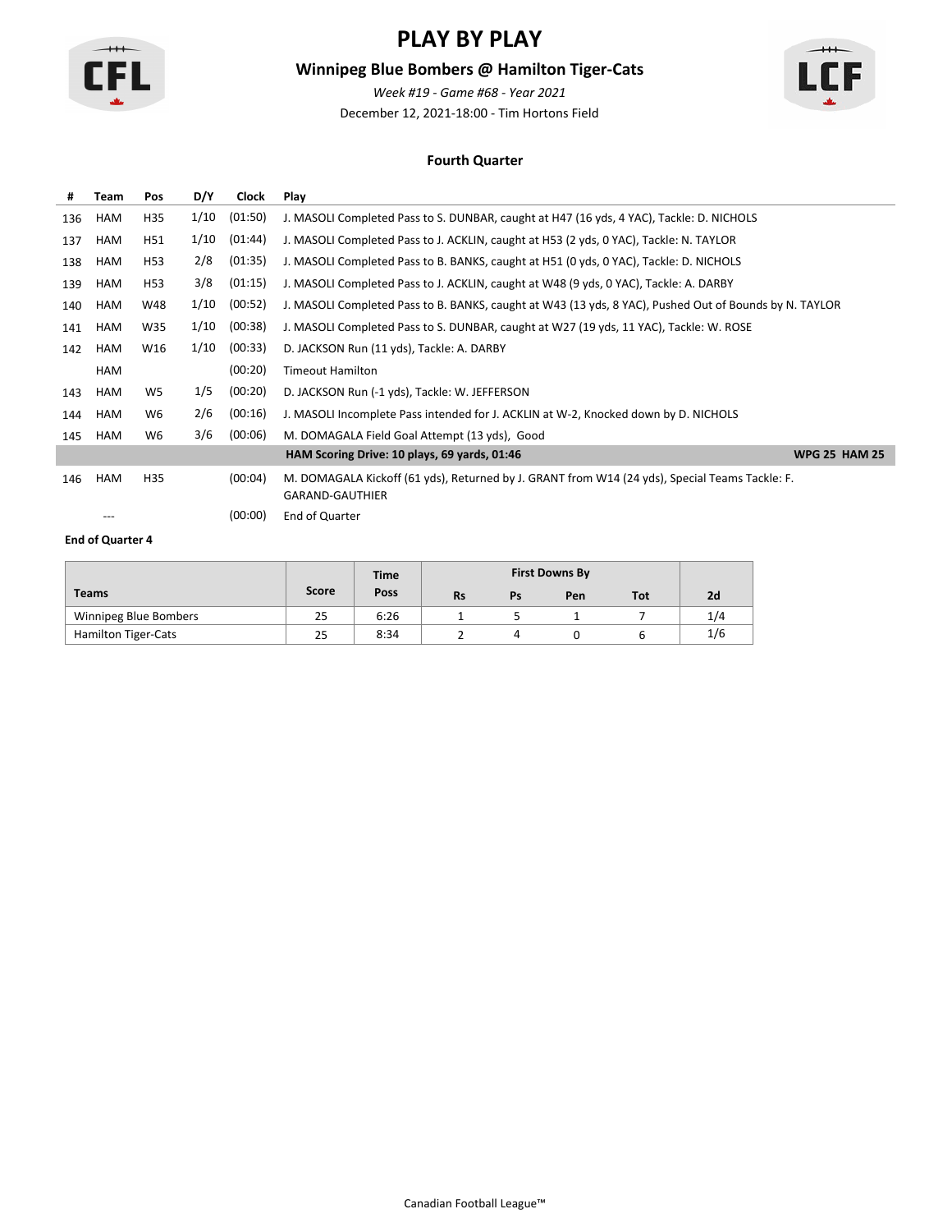

## **Winnipeg Blue Bombers @ Hamilton Tiger-Cats**

December 12, 2021-18:00 - Tim Hortons Field *Week #19 - Game #68 - Year 2021*



#### **Fourth Quarter**

| #   | <b>Team</b> | Pos            | D/Y  | Clock   | Play                                                                                                                     |                      |
|-----|-------------|----------------|------|---------|--------------------------------------------------------------------------------------------------------------------------|----------------------|
| 136 | HAM         | H35            | 1/10 | (01:50) | J. MASOLI Completed Pass to S. DUNBAR, caught at H47 (16 yds, 4 YAC), Tackle: D. NICHOLS                                 |                      |
| 137 | HAM         | H51            | 1/10 | (01:44) | J. MASOLI Completed Pass to J. ACKLIN, caught at H53 (2 yds, 0 YAC), Tackle: N. TAYLOR                                   |                      |
| 138 | HAM         | H53            | 2/8  | (01:35) | J. MASOLI Completed Pass to B. BANKS, caught at H51 (0 yds, 0 YAC), Tackle: D. NICHOLS                                   |                      |
| 139 | HAM         | H53            | 3/8  | (01:15) | J. MASOLI Completed Pass to J. ACKLIN, caught at W48 (9 yds, 0 YAC), Tackle: A. DARBY                                    |                      |
| 140 | HAM         | W48            | 1/10 | (00:52) | J. MASOLI Completed Pass to B. BANKS, caught at W43 (13 yds, 8 YAC), Pushed Out of Bounds by N. TAYLOR                   |                      |
| 141 | HAM         | W35            | 1/10 | (00:38) | J. MASOLI Completed Pass to S. DUNBAR, caught at W27 (19 yds, 11 YAC), Tackle: W. ROSE                                   |                      |
| 142 | HAM         | W16            | 1/10 | (00:33) | D. JACKSON Run (11 yds), Tackle: A. DARBY                                                                                |                      |
|     | HAM         |                |      | (00:20) | <b>Timeout Hamilton</b>                                                                                                  |                      |
| 143 | HAM         | W <sub>5</sub> | 1/5  | (00:20) | D. JACKSON Run (-1 yds), Tackle: W. JEFFERSON                                                                            |                      |
| 144 | HAM         | W6             | 2/6  | (00:16) | J. MASOLI Incomplete Pass intended for J. ACKLIN at W-2, Knocked down by D. NICHOLS                                      |                      |
| 145 | HAM         | W6             | 3/6  | (00:06) | M. DOMAGALA Field Goal Attempt (13 yds), Good                                                                            |                      |
|     |             |                |      |         | HAM Scoring Drive: 10 plays, 69 yards, 01:46                                                                             | <b>WPG 25 HAM 25</b> |
| 146 | <b>HAM</b>  | H35            |      | (00:04) | M. DOMAGALA Kickoff (61 yds), Returned by J. GRANT from W14 (24 yds), Special Teams Tackle: F.<br><b>GARAND-GAUTHIER</b> |                      |
|     | ---         |                |      | (00:00) | End of Quarter                                                                                                           |                      |

|                            |       | <b>Time</b> |           |    |     |     |     |
|----------------------------|-------|-------------|-----------|----|-----|-----|-----|
| <b>Teams</b>               | Score | Poss        | <b>Rs</b> | Ps | Pen | Tot | 2d  |
| Winnipeg Blue Bombers      | 25    | 6:26        |           |    |     |     | 1/4 |
| <b>Hamilton Tiger-Cats</b> | 25    | 8:34        |           |    |     |     | 1/6 |